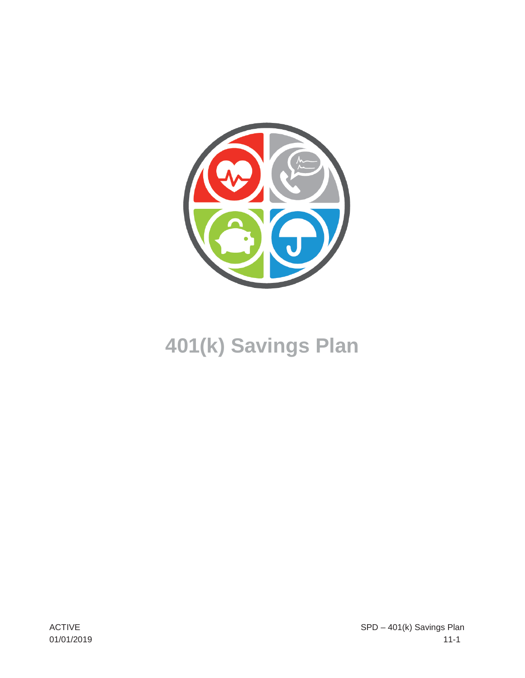

# **401(k) Savings Plan**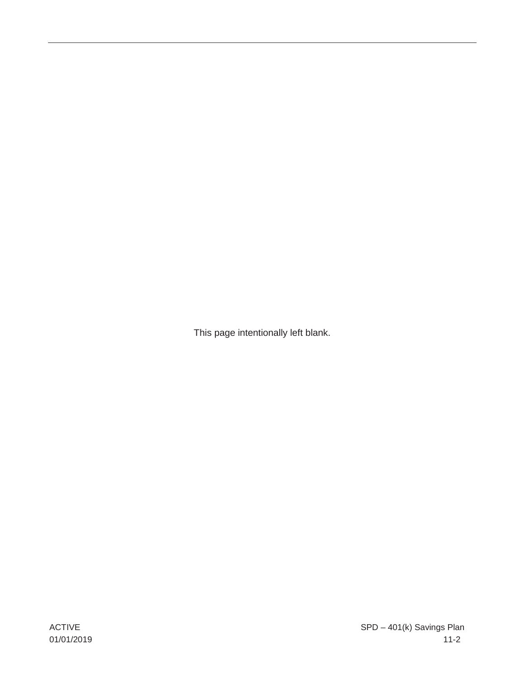This page intentionally left blank.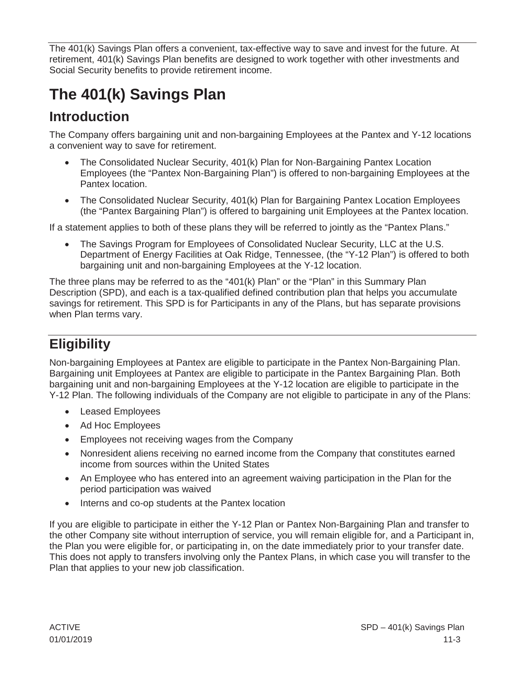The 401(k) Savings Plan offers a convenient, tax-effective way to save and invest for the future. At retirement, 401(k) Savings Plan benefits are designed to work together with other investments and Social Security benefits to provide retirement income.

## **The 401(k) Savings Plan**

### **Introduction**

The Company offers bargaining unit and non-bargaining Employees at the Pantex and Y-12 locations a convenient way to save for retirement.

- The Consolidated Nuclear Security, 401(k) Plan for Non-Bargaining Pantex Location Employees (the "Pantex Non-Bargaining Plan") is offered to non-bargaining Employees at the Pantex location.
- The Consolidated Nuclear Security, 401(k) Plan for Bargaining Pantex Location Employees (the "Pantex Bargaining Plan") is offered to bargaining unit Employees at the Pantex location.

If a statement applies to both of these plans they will be referred to jointly as the "Pantex Plans."

• The Savings Program for Employees of Consolidated Nuclear Security, LLC at the U.S. Department of Energy Facilities at Oak Ridge, Tennessee, (the "Y-12 Plan") is offered to both bargaining unit and non-bargaining Employees at the Y-12 location.

The three plans may be referred to as the "401(k) Plan" or the "Plan" in this Summary Plan Description (SPD), and each is a tax-qualified defined contribution plan that helps you accumulate savings for retirement. This SPD is for Participants in any of the Plans, but has separate provisions when Plan terms vary.

## **Eligibility**

Non-bargaining Employees at Pantex are eligible to participate in the Pantex Non-Bargaining Plan. Bargaining unit Employees at Pantex are eligible to participate in the Pantex Bargaining Plan. Both bargaining unit and non-bargaining Employees at the Y-12 location are eligible to participate in the Y-12 Plan. The following individuals of the Company are not eligible to participate in any of the Plans:

- Leased Employees
- Ad Hoc Employees
- Employees not receiving wages from the Company
- Nonresident aliens receiving no earned income from the Company that constitutes earned income from sources within the United States
- An Employee who has entered into an agreement waiving participation in the Plan for the period participation was waived
- Interns and co-op students at the Pantex location

If you are eligible to participate in either the Y-12 Plan or Pantex Non-Bargaining Plan and transfer to the other Company site without interruption of service, you will remain eligible for, and a Participant in, the Plan you were eligible for, or participating in, on the date immediately prior to your transfer date. This does not apply to transfers involving only the Pantex Plans, in which case you will transfer to the Plan that applies to your new job classification.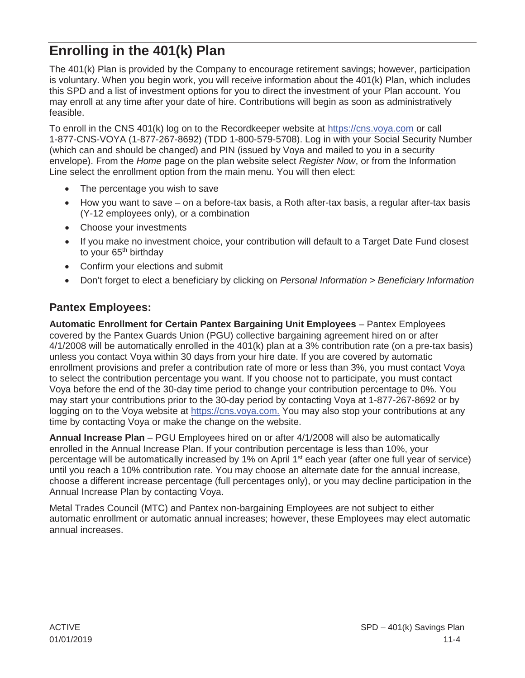### **Enrolling in the 401(k) Plan**

The 401(k) Plan is provided by the Company to encourage retirement savings; however, participation is voluntary. When you begin work, you will receive information about the 401(k) Plan, which includes this SPD and a list of investment options for you to direct the investment of your Plan account. You may enroll at any time after your date of hire. Contributions will begin as soon as administratively feasible.

To enroll in the CNS 401(k) log on to the Recordkeeper website at https://cns.voya.com or call 1-877-CNS-VOYA (1-877-267-8692) (TDD 1-800-579-5708). Log in with your Social Security Number (which can and should be changed) and PIN (issued by Voya and mailed to you in a security envelope). From the *Home* page on the plan website select *Register Now*, or from the Information Line select the enrollment option from the main menu. You will then elect:

- The percentage you wish to save
- $\bullet$  How you want to save on a before-tax basis, a Roth after-tax basis, a regular after-tax basis (Y-12 employees only), or a combination
- Choose your investments
- If you make no investment choice, your contribution will default to a Target Date Fund closest to your 65<sup>th</sup> birthday
- Confirm your elections and submit
- Don't forget to elect a beneficiary by clicking on *Personal Information > Beneficiary Information*

### **Pantex Employees:**

**Automatic Enrollment for Certain Pantex Bargaining Unit Employees** – Pantex Employees covered by the Pantex Guards Union (PGU) collective bargaining agreement hired on or after 4/1/2008 will be automatically enrolled in the 401(k) plan at a 3% contribution rate (on a pre-tax basis) unless you contact Voya within 30 days from your hire date. If you are covered by automatic enrollment provisions and prefer a contribution rate of more or less than 3%, you must contact Voya to select the contribution percentage you want. If you choose not to participate, you must contact Voya before the end of the 30-day time period to change your contribution percentage to 0%. You may start your contributions prior to the 30-day period by contacting Voya at 1-877-267-8692 or by logging on to the Voya website at https://cns.voya.com. You may also stop your contributions at any time by contacting Voya or make the change on the website.

**Annual Increase Plan** – PGU Employees hired on or after 4/1/2008 will also be automatically enrolled in the Annual Increase Plan. If your contribution percentage is less than 10%, your percentage will be automatically increased by 1% on April 1<sup>st</sup> each year (after one full year of service) until you reach a 10% contribution rate. You may choose an alternate date for the annual increase, choose a different increase percentage (full percentages only), or you may decline participation in the Annual Increase Plan by contacting Voya.

Metal Trades Council (MTC) and Pantex non-bargaining Employees are not subject to either automatic enrollment or automatic annual increases; however, these Employees may elect automatic annual increases.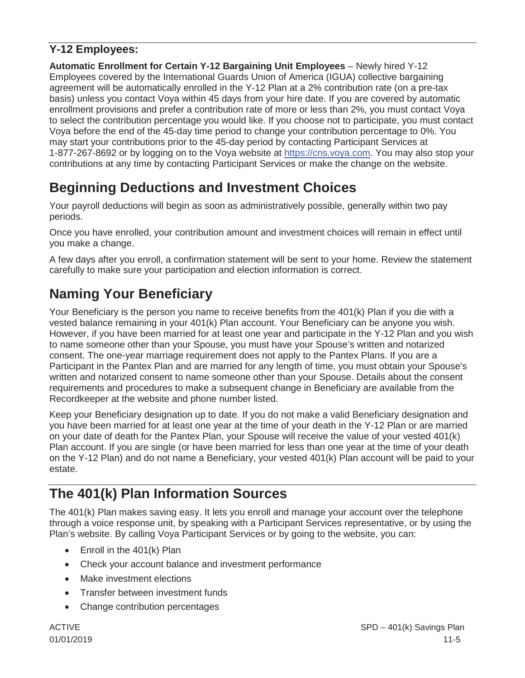### **Y-12 Employees:**

**Automatic Enrollment for Certain Y-12 Bargaining Unit Employees** – Newly hired Y-12 Employees covered by the International Guards Union of America (IGUA) collective bargaining agreement will be automatically enrolled in the Y-12 Plan at a 2% contribution rate (on a pre-tax basis) unless you contact Voya within 45 days from your hire date. If you are covered by automatic enrollment provisions and prefer a contribution rate of more or less than 2%, you must contact Voya to select the contribution percentage you would like. If you choose not to participate, you must contact Voya before the end of the 45-day time period to change your contribution percentage to 0%. You may start your contributions prior to the 45-day period by contacting Participant Services at 1-877-267-8692 or by logging on to the Voya website at https://cns.voya.com. You may also stop your contributions at any time by contacting Participant Services or make the change on the website.

### **Beginning Deductions and Investment Choices**

Your payroll deductions will begin as soon as administratively possible, generally within two pay periods.

Once you have enrolled, your contribution amount and investment choices will remain in effect until you make a change.

A few days after you enroll, a confirmation statement will be sent to your home. Review the statement carefully to make sure your participation and election information is correct.

### **Naming Your Beneficiary**

Your Beneficiary is the person you name to receive benefits from the 401(k) Plan if you die with a vested balance remaining in your 401(k) Plan account. Your Beneficiary can be anyone you wish. However, if you have been married for at least one year and participate in the Y-12 Plan and you wish to name someone other than your Spouse, you must have your Spouse's written and notarized consent. The one-year marriage requirement does not apply to the Pantex Plans. If you are a Participant in the Pantex Plan and are married for any length of time, you must obtain your Spouse's written and notarized consent to name someone other than your Spouse. Details about the consent requirements and procedures to make a subsequent change in Beneficiary are available from the Recordkeeper at the website and phone number listed.

Keep your Beneficiary designation up to date. If you do not make a valid Beneficiary designation and you have been married for at least one year at the time of your death in the Y-12 Plan or are married on your date of death for the Pantex Plan, your Spouse will receive the value of your vested 401(k) Plan account. If you are single (or have been married for less than one year at the time of your death on the Y-12 Plan) and do not name a Beneficiary, your vested 401(k) Plan account will be paid to your estate.

### **The 401(k) Plan Information Sources**

The 401(k) Plan makes saving easy. It lets you enroll and manage your account over the telephone through a voice response unit, by speaking with a Participant Services representative, or by using the Plan's website. By calling Voya Participant Services or by going to the website, you can:

- $\bullet$  Enroll in the 401(k) Plan
- Check your account balance and investment performance
- Make investment elections
- Transfer between investment funds
- Change contribution percentages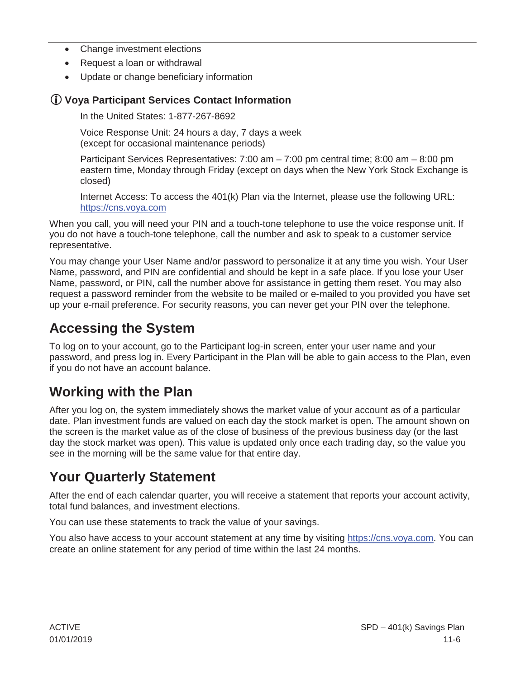- Change investment elections
- Request a loan or withdrawal
- Update or change beneficiary information

### L**Voya Participant Services Contact Information**

In the United States: 1-877-267-8692

Voice Response Unit: 24 hours a day, 7 days a week (except for occasional maintenance periods)

Participant Services Representatives: 7:00 am – 7:00 pm central time; 8:00 am – 8:00 pm eastern time, Monday through Friday (except on days when the New York Stock Exchange is closed)

Internet Access: To access the 401(k) Plan via the Internet, please use the following URL: https://cns.voya.com

When you call, you will need your PIN and a touch-tone telephone to use the voice response unit. If you do not have a touch-tone telephone, call the number and ask to speak to a customer service representative.

You may change your User Name and/or password to personalize it at any time you wish. Your User Name, password, and PIN are confidential and should be kept in a safe place. If you lose your User Name, password, or PIN, call the number above for assistance in getting them reset. You may also request a password reminder from the website to be mailed or e-mailed to you provided you have set up your e-mail preference. For security reasons, you can never get your PIN over the telephone.

### **Accessing the System**

To log on to your account, go to the Participant log-in screen, enter your user name and your password, and press log in. Every Participant in the Plan will be able to gain access to the Plan, even if you do not have an account balance.

### **Working with the Plan**

After you log on, the system immediately shows the market value of your account as of a particular date. Plan investment funds are valued on each day the stock market is open. The amount shown on the screen is the market value as of the close of business of the previous business day (or the last day the stock market was open). This value is updated only once each trading day, so the value you see in the morning will be the same value for that entire day.

### **Your Quarterly Statement**

After the end of each calendar quarter, you will receive a statement that reports your account activity, total fund balances, and investment elections.

You can use these statements to track the value of your savings.

You also have access to your account statement at any time by visiting https://cns.voya.com. You can create an online statement for any period of time within the last 24 months.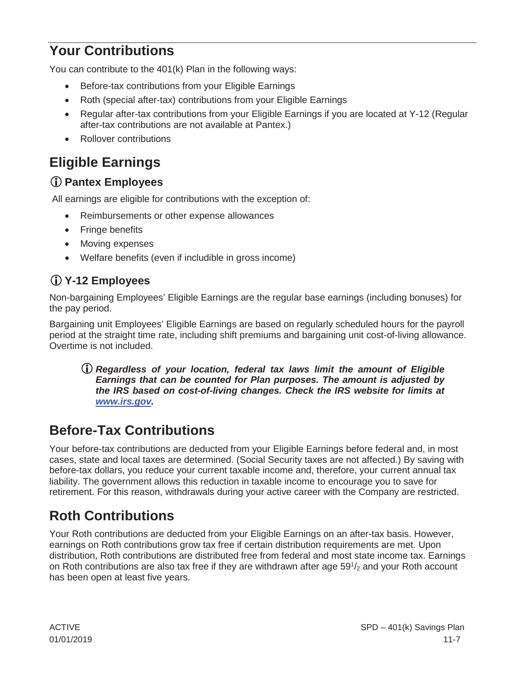### **Your Contributions**

You can contribute to the 401(k) Plan in the following ways:

- Before-tax contributions from your Eligible Earnings
- Roth (special after-tax) contributions from your Eligible Earnings
- Regular after-tax contributions from your Eligible Earnings if you are located at Y-12 (Regular after-tax contributions are not available at Pantex.)
- Rollover contributions

## **Eligible Earnings**

### L**Pantex Employees**

All earnings are eligible for contributions with the exception of:

- Reimbursements or other expense allowances
- Fringe benefits
- Moving expenses
- Welfare benefits (even if includible in gross income)

### L**Y-12 Employees**

Non-bargaining Employees' Eligible Earnings are the regular base earnings (including bonuses) for the pay period.

Bargaining unit Employees' Eligible Earnings are based on regularly scheduled hours for the payroll period at the straight time rate, including shift premiums and bargaining unit cost-of-living allowance. Overtime is not included.

L*Regardless of your location, federal tax laws limit the amount of Eligible Earnings that can be counted for Plan purposes. The amount is adjusted by the IRS based on cost-of-living changes. Check the IRS website for limits at www.irs.gov.*

### **Before-Tax Contributions**

Your before-tax contributions are deducted from your Eligible Earnings before federal and, in most cases, state and local taxes are determined. (Social Security taxes are not affected.) By saving with before-tax dollars, you reduce your current taxable income and, therefore, your current annual tax liability. The government allows this reduction in taxable income to encourage you to save for retirement. For this reason, withdrawals during your active career with the Company are restricted.

### **Roth Contributions**

Your Roth contributions are deducted from your Eligible Earnings on an after-tax basis. However, earnings on Roth contributions grow tax free if certain distribution requirements are met. Upon distribution, Roth contributions are distributed free from federal and most state income tax. Earnings on Roth contributions are also tax free if they are withdrawn after age  $59<sup>1</sup>/<sub>2</sub>$  and your Roth account has been open at least five years.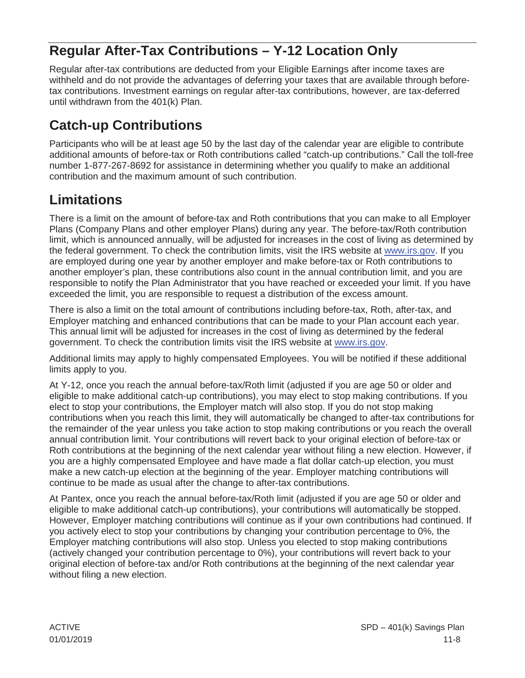### **Regular After-Tax Contributions – Y-12 Location Only**

Regular after-tax contributions are deducted from your Eligible Earnings after income taxes are withheld and do not provide the advantages of deferring your taxes that are available through beforetax contributions. Investment earnings on regular after-tax contributions, however, are tax-deferred until withdrawn from the 401(k) Plan.

## **Catch-up Contributions**

Participants who will be at least age 50 by the last day of the calendar year are eligible to contribute additional amounts of before-tax or Roth contributions called "catch-up contributions." Call the toll-free number 1-877-267-8692 for assistance in determining whether you qualify to make an additional contribution and the maximum amount of such contribution.

## **Limitations**

There is a limit on the amount of before-tax and Roth contributions that you can make to all Employer Plans (Company Plans and other employer Plans) during any year. The before-tax/Roth contribution limit, which is announced annually, will be adjusted for increases in the cost of living as determined by the federal government. To check the contribution limits, visit the IRS website at www.irs.gov. If you are employed during one year by another employer and make before-tax or Roth contributions to another employer's plan, these contributions also count in the annual contribution limit, and you are responsible to notify the Plan Administrator that you have reached or exceeded your limit. If you have exceeded the limit, you are responsible to request a distribution of the excess amount.

There is also a limit on the total amount of contributions including before-tax, Roth, after-tax, and Employer matching and enhanced contributions that can be made to your Plan account each year. This annual limit will be adjusted for increases in the cost of living as determined by the federal government. To check the contribution limits visit the IRS website at www.irs.gov.

Additional limits may apply to highly compensated Employees. You will be notified if these additional limits apply to you.

At Y-12, once you reach the annual before-tax/Roth limit (adjusted if you are age 50 or older and eligible to make additional catch-up contributions), you may elect to stop making contributions. If you elect to stop your contributions, the Employer match will also stop. If you do not stop making contributions when you reach this limit, they will automatically be changed to after-tax contributions for the remainder of the year unless you take action to stop making contributions or you reach the overall annual contribution limit. Your contributions will revert back to your original election of before-tax or Roth contributions at the beginning of the next calendar year without filing a new election. However, if you are a highly compensated Employee and have made a flat dollar catch-up election, you must make a new catch-up election at the beginning of the year. Employer matching contributions will continue to be made as usual after the change to after-tax contributions.

At Pantex, once you reach the annual before-tax/Roth limit (adjusted if you are age 50 or older and eligible to make additional catch-up contributions), your contributions will automatically be stopped. However, Employer matching contributions will continue as if your own contributions had continued. If you actively elect to stop your contributions by changing your contribution percentage to 0%, the Employer matching contributions will also stop. Unless you elected to stop making contributions (actively changed your contribution percentage to 0%), your contributions will revert back to your original election of before-tax and/or Roth contributions at the beginning of the next calendar year without filing a new election.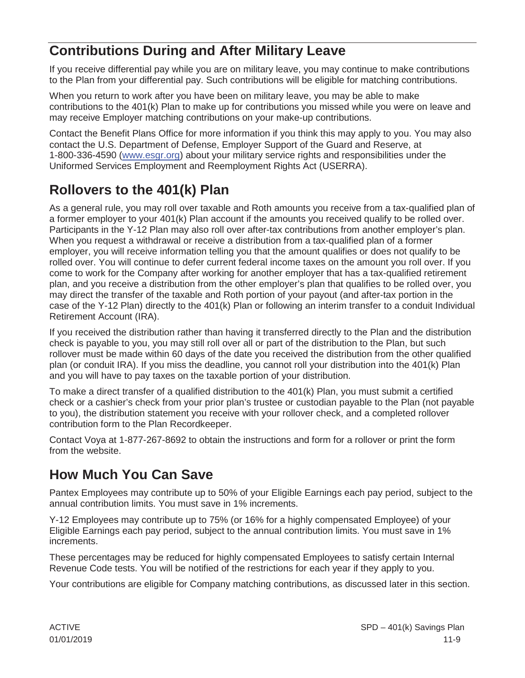### **Contributions During and After Military Leave**

If you receive differential pay while you are on military leave, you may continue to make contributions to the Plan from your differential pay. Such contributions will be eligible for matching contributions.

When you return to work after you have been on military leave, you may be able to make contributions to the 401(k) Plan to make up for contributions you missed while you were on leave and may receive Employer matching contributions on your make-up contributions.

Contact the Benefit Plans Office for more information if you think this may apply to you. You may also contact the U.S. Department of Defense, Employer Support of the Guard and Reserve, at 1-800-336-4590 (www.esgr.org) about your military service rights and responsibilities under the Uniformed Services Employment and Reemployment Rights Act (USERRA).

### **Rollovers to the 401(k) Plan**

As a general rule, you may roll over taxable and Roth amounts you receive from a tax-qualified plan of a former employer to your 401(k) Plan account if the amounts you received qualify to be rolled over. Participants in the Y-12 Plan may also roll over after-tax contributions from another employer's plan. When you request a withdrawal or receive a distribution from a tax-qualified plan of a former employer, you will receive information telling you that the amount qualifies or does not qualify to be rolled over. You will continue to defer current federal income taxes on the amount you roll over. If you come to work for the Company after working for another employer that has a tax-qualified retirement plan, and you receive a distribution from the other employer's plan that qualifies to be rolled over, you may direct the transfer of the taxable and Roth portion of your payout (and after-tax portion in the case of the Y-12 Plan) directly to the 401(k) Plan or following an interim transfer to a conduit Individual Retirement Account (IRA).

If you received the distribution rather than having it transferred directly to the Plan and the distribution check is payable to you, you may still roll over all or part of the distribution to the Plan, but such rollover must be made within 60 days of the date you received the distribution from the other qualified plan (or conduit IRA). If you miss the deadline, you cannot roll your distribution into the 401(k) Plan and you will have to pay taxes on the taxable portion of your distribution.

To make a direct transfer of a qualified distribution to the 401(k) Plan, you must submit a certified check or a cashier's check from your prior plan's trustee or custodian payable to the Plan (not payable to you), the distribution statement you receive with your rollover check, and a completed rollover contribution form to the Plan Recordkeeper.

Contact Voya at 1-877-267-8692 to obtain the instructions and form for a rollover or print the form from the website.

### **How Much You Can Save**

Pantex Employees may contribute up to 50% of your Eligible Earnings each pay period, subject to the annual contribution limits. You must save in 1% increments.

Y-12 Employees may contribute up to 75% (or 16% for a highly compensated Employee) of your Eligible Earnings each pay period, subject to the annual contribution limits. You must save in 1% increments.

These percentages may be reduced for highly compensated Employees to satisfy certain Internal Revenue Code tests. You will be notified of the restrictions for each year if they apply to you.

Your contributions are eligible for Company matching contributions, as discussed later in this section.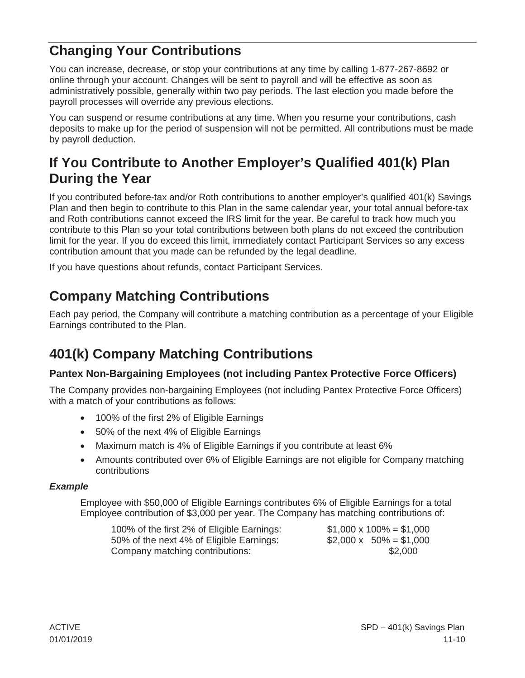### **Changing Your Contributions**

You can increase, decrease, or stop your contributions at any time by calling 1-877-267-8692 or online through your account. Changes will be sent to payroll and will be effective as soon as administratively possible, generally within two pay periods. The last election you made before the payroll processes will override any previous elections.

You can suspend or resume contributions at any time. When you resume your contributions, cash deposits to make up for the period of suspension will not be permitted. All contributions must be made by payroll deduction.

### **If You Contribute to Another Employer's Qualified 401(k) Plan During the Year**

If you contributed before-tax and/or Roth contributions to another employer's qualified 401(k) Savings Plan and then begin to contribute to this Plan in the same calendar year, your total annual before-tax and Roth contributions cannot exceed the IRS limit for the year. Be careful to track how much you contribute to this Plan so your total contributions between both plans do not exceed the contribution limit for the year. If you do exceed this limit, immediately contact Participant Services so any excess contribution amount that you made can be refunded by the legal deadline.

If you have questions about refunds, contact Participant Services.

### **Company Matching Contributions**

Each pay period, the Company will contribute a matching contribution as a percentage of your Eligible Earnings contributed to the Plan.

### **401(k) Company Matching Contributions**

### **Pantex Non-Bargaining Employees (not including Pantex Protective Force Officers)**

The Company provides non-bargaining Employees (not including Pantex Protective Force Officers) with a match of your contributions as follows:

- 100% of the first 2% of Eligible Earnings
- 50% of the next 4% of Eligible Earnings
- Maximum match is 4% of Eligible Earnings if you contribute at least 6%
- Amounts contributed over 6% of Eligible Earnings are not eligible for Company matching contributions

#### *Example*

Employee with \$50,000 of Eligible Earnings contributes 6% of Eligible Earnings for a total Employee contribution of \$3,000 per year. The Company has matching contributions of:

| 100% of the first 2% of Eligible Earnings: | $$1,000 \times 100\% = $1,0$ |
|--------------------------------------------|------------------------------|
| 50% of the next 4% of Eligible Earnings:   | $$2,000 \times 50\% = $1,0$  |
| Company matching contributions:            | \$2,000                      |

 $$1.000 \times 100\% = $1,000$  $$2,000 \times 50\% = $1,000$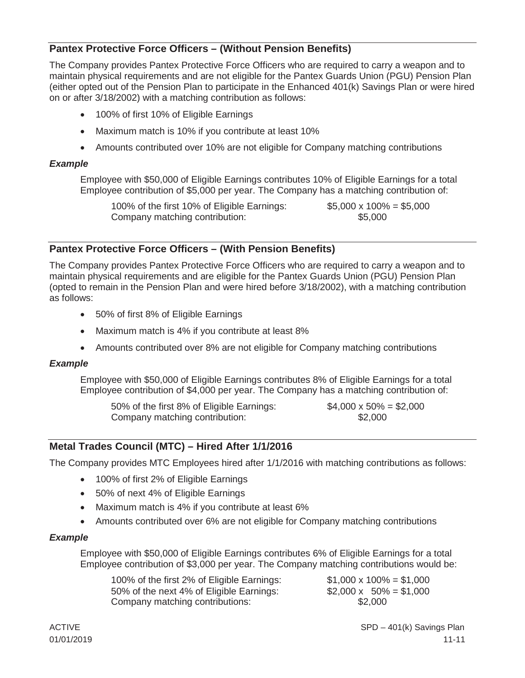### **Pantex Protective Force Officers – (Without Pension Benefits)**

The Company provides Pantex Protective Force Officers who are required to carry a weapon and to maintain physical requirements and are not eligible for the Pantex Guards Union (PGU) Pension Plan (either opted out of the Pension Plan to participate in the Enhanced 401(k) Savings Plan or were hired on or after 3/18/2002) with a matching contribution as follows:

- 100% of first 10% of Eligible Earnings
- Maximum match is 10% if you contribute at least 10%
- Amounts contributed over 10% are not eligible for Company matching contributions

#### *Example*

Employee with \$50,000 of Eligible Earnings contributes 10% of Eligible Earnings for a total Employee contribution of \$5,000 per year. The Company has a matching contribution of:

100% of the first 10% of Eligible Earnings: \$5,000 x 100% = \$5,000 Company matching contribution: \$5,000

#### **Pantex Protective Force Officers – (With Pension Benefits)**

The Company provides Pantex Protective Force Officers who are required to carry a weapon and to maintain physical requirements and are eligible for the Pantex Guards Union (PGU) Pension Plan (opted to remain in the Pension Plan and were hired before 3/18/2002), with a matching contribution as follows:

- 50% of first 8% of Eligible Earnings
- Maximum match is 4% if you contribute at least 8%
- Amounts contributed over 8% are not eligible for Company matching contributions

#### *Example*

Employee with \$50,000 of Eligible Earnings contributes 8% of Eligible Earnings for a total Employee contribution of \$4,000 per year. The Company has a matching contribution of:

50% of the first 8% of Eligible Earnings: \$4,000 x 50% = \$2,000 Company matching contribution: \$2,000

### **Metal Trades Council (MTC) – Hired After 1/1/2016**

The Company provides MTC Employees hired after 1/1/2016 with matching contributions as follows:

- 100% of first 2% of Eligible Earnings
- 50% of next 4% of Eligible Earnings
- Maximum match is 4% if you contribute at least 6%
- Amounts contributed over 6% are not eligible for Company matching contributions

#### *Example*

Employee with \$50,000 of Eligible Earnings contributes 6% of Eligible Earnings for a total Employee contribution of \$3,000 per year. The Company matching contributions would be:

100% of the first 2% of Eligible Earnings: \$1,000 x 100% = \$1,000 50% of the next 4% of Eligible Earnings:  $$2,000 \times 50\% = $1,000$ Company matching contributions: \$2,000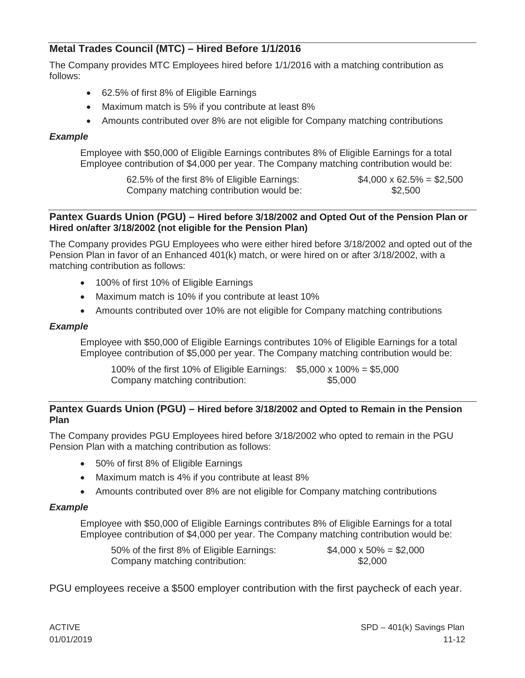### **Metal Trades Council (MTC) – Hired Before 1/1/2016**

The Company provides MTC Employees hired before 1/1/2016 with a matching contribution as follows:

- 62.5% of first 8% of Eligible Earnings
- Maximum match is 5% if you contribute at least 8%
- Amounts contributed over 8% are not eligible for Company matching contributions

#### *Example*

Employee with \$50,000 of Eligible Earnings contributes 8% of Eligible Earnings for a total Employee contribution of \$4,000 per year. The Company matching contribution would be:

> 62.5% of the first 8% of Eligible Earnings:  $$4,000 \times 62.5\% = $2,500$ Company matching contribution would be: \$2,500

#### **Pantex Guards Union (PGU) – Hired before 3/18/2002 and Opted Out of the Pension Plan or Hired on/after 3/18/2002 (not eligible for the Pension Plan)**

The Company provides PGU Employees who were either hired before 3/18/2002 and opted out of the Pension Plan in favor of an Enhanced 401(k) match, or were hired on or after 3/18/2002, with a matching contribution as follows:

- 100% of first 10% of Eligible Earnings
- Maximum match is 10% if you contribute at least 10%
- Amounts contributed over 10% are not eligible for Company matching contributions

#### *Example*

Employee with \$50,000 of Eligible Earnings contributes 10% of Eligible Earnings for a total Employee contribution of \$5,000 per year. The Company matching contribution would be:

100% of the first 10% of Eligible Earnings: \$5,000 x 100% = \$5,000 Company matching contribution: \$5,000

#### **Pantex Guards Union (PGU) – Hired before 3/18/2002 and Opted to Remain in the Pension Plan**

The Company provides PGU Employees hired before 3/18/2002 who opted to remain in the PGU Pension Plan with a matching contribution as follows:

- 50% of first 8% of Eligible Earnings
- Maximum match is 4% if you contribute at least 8%
- Amounts contributed over 8% are not eligible for Company matching contributions

#### *Example*

Employee with \$50,000 of Eligible Earnings contributes 8% of Eligible Earnings for a total Employee contribution of \$4,000 per year. The Company matching contribution would be:

| 50% of the first 8% of Eligible Earnings: | $$4,000 \times 50\% = $2,000$ |
|-------------------------------------------|-------------------------------|
| Company matching contribution:            | \$2,000                       |

PGU employees receive a \$500 employer contribution with the first paycheck of each year.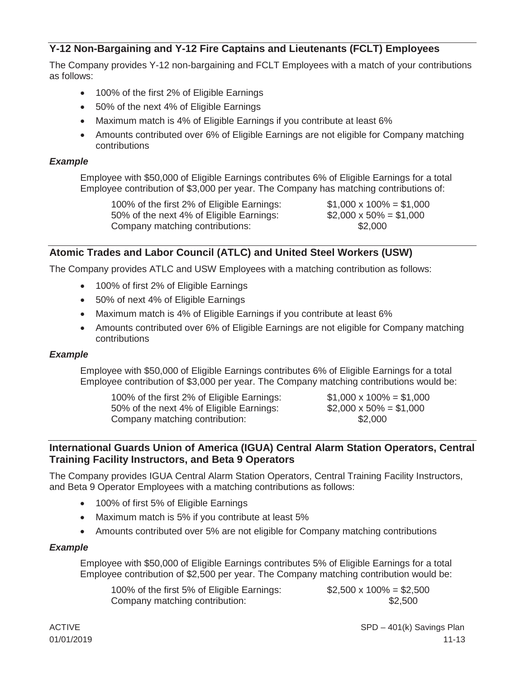### **Y-12 Non-Bargaining and Y-12 Fire Captains and Lieutenants (FCLT) Employees**

The Company provides Y-12 non-bargaining and FCLT Employees with a match of your contributions as follows:

- 100% of the first 2% of Eligible Earnings
- 50% of the next 4% of Eligible Earnings
- Maximum match is 4% of Eligible Earnings if you contribute at least 6%
- Amounts contributed over 6% of Eligible Earnings are not eligible for Company matching contributions

#### *Example*

Employee with \$50,000 of Eligible Earnings contributes 6% of Eligible Earnings for a total Employee contribution of \$3,000 per year. The Company has matching contributions of:

100% of the first 2% of Eligible Earnings: \$1,000 x 100% = \$1,000 50% of the next 4% of Eligible Earnings:  $$2,000 \times 50\% = $1,000$ Company matching contributions: \$2,000

### **Atomic Trades and Labor Council (ATLC) and United Steel Workers (USW)**

The Company provides ATLC and USW Employees with a matching contribution as follows:

- 100% of first 2% of Eligible Earnings
- 50% of next 4% of Eligible Earnings
- Maximum match is 4% of Eligible Earnings if you contribute at least 6%
- Amounts contributed over 6% of Eligible Earnings are not eligible for Company matching contributions

#### *Example*

Employee with \$50,000 of Eligible Earnings contributes 6% of Eligible Earnings for a total Employee contribution of \$3,000 per year. The Company matching contributions would be:

100% of the first 2% of Eligible Earnings: \$1,000 x 100% = \$1,000 50% of the next 4% of Eligible Earnings:  $$2,000 \times 50\% = $1,000$ Company matching contribution: \$2,000

#### **International Guards Union of America (IGUA) Central Alarm Station Operators, Central Training Facility Instructors, and Beta 9 Operators**

The Company provides IGUA Central Alarm Station Operators, Central Training Facility Instructors, and Beta 9 Operator Employees with a matching contributions as follows:

- 100% of first 5% of Eligible Earnings
- Maximum match is 5% if you contribute at least 5%
- Amounts contributed over 5% are not eligible for Company matching contributions

#### *Example*

Employee with \$50,000 of Eligible Earnings contributes 5% of Eligible Earnings for a total Employee contribution of \$2,500 per year. The Company matching contribution would be:

| 100% of the first 5% of Eligible Earnings: | $$2,500 \times 100\% = $2,500$ |
|--------------------------------------------|--------------------------------|
| Company matching contribution:             | \$2,500                        |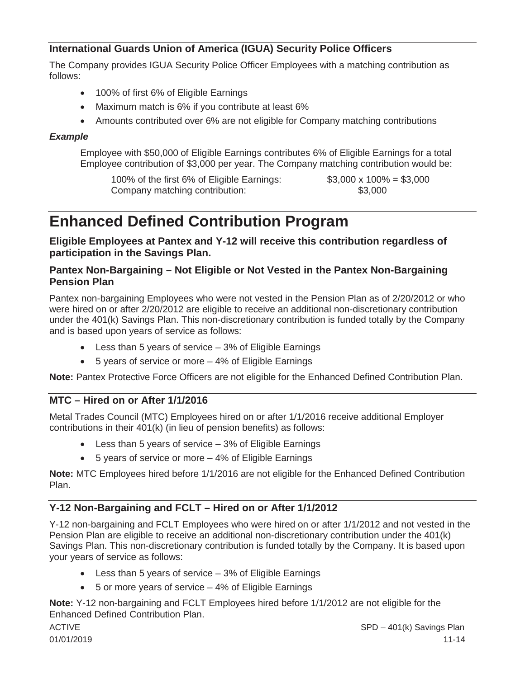### **International Guards Union of America (IGUA) Security Police Officers**

The Company provides IGUA Security Police Officer Employees with a matching contribution as follows:

- 100% of first 6% of Eligible Earnings
- Maximum match is 6% if you contribute at least 6%
- Amounts contributed over 6% are not eligible for Company matching contributions

#### *Example*

Employee with \$50,000 of Eligible Earnings contributes 6% of Eligible Earnings for a total Employee contribution of \$3,000 per year. The Company matching contribution would be:

100% of the first 6% of Eligible Earnings: \$3,000 x 100% = \$3,000 Company matching contribution:  $$3,000$ 

## **Enhanced Defined Contribution Program**

**Eligible Employees at Pantex and Y-12 will receive this contribution regardless of participation in the Savings Plan.**

#### **Pantex Non-Bargaining – Not Eligible or Not Vested in the Pantex Non-Bargaining Pension Plan**

Pantex non-bargaining Employees who were not vested in the Pension Plan as of 2/20/2012 or who were hired on or after 2/20/2012 are eligible to receive an additional non-discretionary contribution under the 401(k) Savings Plan. This non-discretionary contribution is funded totally by the Company and is based upon years of service as follows:

- Eless than 5 years of service  $-3\%$  of Eligible Earnings
- $\bullet$  5 years of service or more  $-4\%$  of Eligible Earnings

**Note:** Pantex Protective Force Officers are not eligible for the Enhanced Defined Contribution Plan.

### **MTC – Hired on or After 1/1/2016**

Metal Trades Council (MTC) Employees hired on or after 1/1/2016 receive additional Employer contributions in their 401(k) (in lieu of pension benefits) as follows:

- Eless than 5 years of service  $-3\%$  of Eligible Earnings
- $\bullet$  5 years of service or more  $-4\%$  of Eligible Earnings

**Note:** MTC Employees hired before 1/1/2016 are not eligible for the Enhanced Defined Contribution Plan.

### **Y-12 Non-Bargaining and FCLT – Hired on or After 1/1/2012**

Y-12 non-bargaining and FCLT Employees who were hired on or after 1/1/2012 and not vested in the Pension Plan are eligible to receive an additional non-discretionary contribution under the 401(k) Savings Plan. This non-discretionary contribution is funded totally by the Company. It is based upon your years of service as follows:

- Eless than 5 years of service  $-3\%$  of Eligible Earnings
- $\bullet$  5 or more years of service  $-4\%$  of Eligible Earnings

**Note:** Y-12 non-bargaining and FCLT Employees hired before 1/1/2012 are not eligible for the Enhanced Defined Contribution Plan.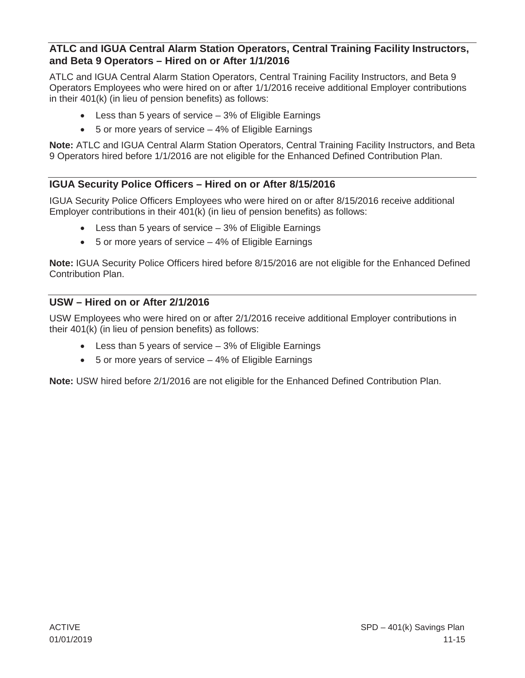#### **ATLC and IGUA Central Alarm Station Operators, Central Training Facility Instructors, and Beta 9 Operators – Hired on or After 1/1/2016**

ATLC and IGUA Central Alarm Station Operators, Central Training Facility Instructors, and Beta 9 Operators Employees who were hired on or after 1/1/2016 receive additional Employer contributions in their 401(k) (in lieu of pension benefits) as follows:

- Eless than 5 years of service  $-3\%$  of Eligible Earnings
- $\bullet$  5 or more years of service  $-4\%$  of Eligible Earnings

**Note:** ATLC and IGUA Central Alarm Station Operators, Central Training Facility Instructors, and Beta 9 Operators hired before 1/1/2016 are not eligible for the Enhanced Defined Contribution Plan.

### **IGUA Security Police Officers – Hired on or After 8/15/2016**

IGUA Security Police Officers Employees who were hired on or after 8/15/2016 receive additional Employer contributions in their 401(k) (in lieu of pension benefits) as follows:

- Eless than 5 years of service  $-3\%$  of Eligible Earnings
- $\bullet$  5 or more years of service  $-4\%$  of Eligible Earnings

**Note:** IGUA Security Police Officers hired before 8/15/2016 are not eligible for the Enhanced Defined Contribution Plan.

#### **USW – Hired on or After 2/1/2016**

USW Employees who were hired on or after 2/1/2016 receive additional Employer contributions in their 401(k) (in lieu of pension benefits) as follows:

- Eless than 5 years of service  $-3\%$  of Eligible Earnings
- $\bullet$  5 or more years of service  $-4\%$  of Eligible Earnings

**Note:** USW hired before 2/1/2016 are not eligible for the Enhanced Defined Contribution Plan.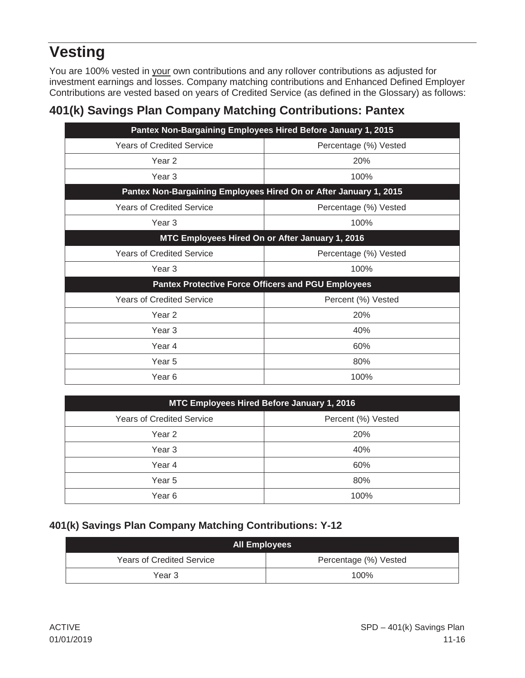## **Vesting**

You are 100% vested in your own contributions and any rollover contributions as adjusted for investment earnings and losses. Company matching contributions and Enhanced Defined Employer Contributions are vested based on years of Credited Service (as defined in the Glossary) as follows:

### **401(k) Savings Plan Company Matching Contributions: Pantex**

| Pantex Non-Bargaining Employees Hired Before January 1, 2015      |                       |  |
|-------------------------------------------------------------------|-----------------------|--|
| <b>Years of Credited Service</b>                                  | Percentage (%) Vested |  |
| Year 2                                                            | 20%                   |  |
| Year 3                                                            | 100%                  |  |
| Pantex Non-Bargaining Employees Hired On or After January 1, 2015 |                       |  |
| <b>Years of Credited Service</b>                                  | Percentage (%) Vested |  |
| Year 3                                                            | 100%                  |  |
| MTC Employees Hired On or After January 1, 2016                   |                       |  |
| <b>Years of Credited Service</b>                                  | Percentage (%) Vested |  |
| Year 3                                                            | 100%                  |  |
| <b>Pantex Protective Force Officers and PGU Employees</b>         |                       |  |
| <b>Years of Credited Service</b>                                  | Percent (%) Vested    |  |
| Year 2                                                            | 20%                   |  |
| Year <sub>3</sub>                                                 | 40%                   |  |
| Year 4                                                            | 60%                   |  |
| Year 5                                                            | 80%                   |  |
| Year 6                                                            | 100%                  |  |

| MTC Employees Hired Before January 1, 2016 |                    |  |
|--------------------------------------------|--------------------|--|
| <b>Years of Credited Service</b>           | Percent (%) Vested |  |
| Year 2                                     | 20%                |  |
| Year 3                                     | 40%                |  |
| Year 4                                     | 60%                |  |
| Year 5                                     | 80%                |  |
| Year 6                                     | 100%               |  |

### **401(k) Savings Plan Company Matching Contributions: Y-12**

| <b>All Employees</b>             |                       |
|----------------------------------|-----------------------|
| <b>Years of Credited Service</b> | Percentage (%) Vested |
| Year 3                           | 100%                  |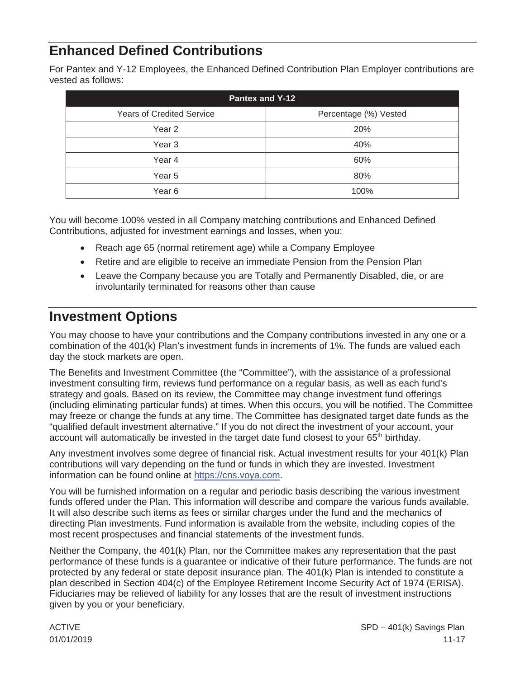### **Enhanced Defined Contributions**

For Pantex and Y-12 Employees, the Enhanced Defined Contribution Plan Employer contributions are vested as follows:

| <b>Pantex and Y-12</b>           |                       |
|----------------------------------|-----------------------|
| <b>Years of Credited Service</b> | Percentage (%) Vested |
| Year 2                           | 20%                   |
| Year 3                           | 40%                   |
| Year 4                           | 60%                   |
| Year 5                           | 80%                   |
| Year 6                           | 100%                  |

You will become 100% vested in all Company matching contributions and Enhanced Defined Contributions, adjusted for investment earnings and losses, when you:

- Reach age 65 (normal retirement age) while a Company Employee
- Retire and are eligible to receive an immediate Pension from the Pension Plan
- Leave the Company because you are Totally and Permanently Disabled, die, or are involuntarily terminated for reasons other than cause

### **Investment Options**

You may choose to have your contributions and the Company contributions invested in any one or a combination of the 401(k) Plan's investment funds in increments of 1%. The funds are valued each day the stock markets are open.

The Benefits and Investment Committee (the "Committee"), with the assistance of a professional investment consulting firm, reviews fund performance on a regular basis, as well as each fund's strategy and goals. Based on its review, the Committee may change investment fund offerings (including eliminating particular funds) at times. When this occurs, you will be notified. The Committee may freeze or change the funds at any time. The Committee has designated target date funds as the "qualified default investment alternative." If you do not direct the investment of your account, your account will automatically be invested in the target date fund closest to your 65<sup>th</sup> birthday.

Any investment involves some degree of financial risk. Actual investment results for your 401(k) Plan contributions will vary depending on the fund or funds in which they are invested. Investment information can be found online at https://cns.voya.com.

You will be furnished information on a regular and periodic basis describing the various investment funds offered under the Plan. This information will describe and compare the various funds available. It will also describe such items as fees or similar charges under the fund and the mechanics of directing Plan investments. Fund information is available from the website, including copies of the most recent prospectuses and financial statements of the investment funds.

Neither the Company, the 401(k) Plan, nor the Committee makes any representation that the past performance of these funds is a guarantee or indicative of their future performance. The funds are not protected by any federal or state deposit insurance plan. The 401(k) Plan is intended to constitute a plan described in Section 404(c) of the Employee Retirement Income Security Act of 1974 (ERISA). Fiduciaries may be relieved of liability for any losses that are the result of investment instructions given by you or your beneficiary.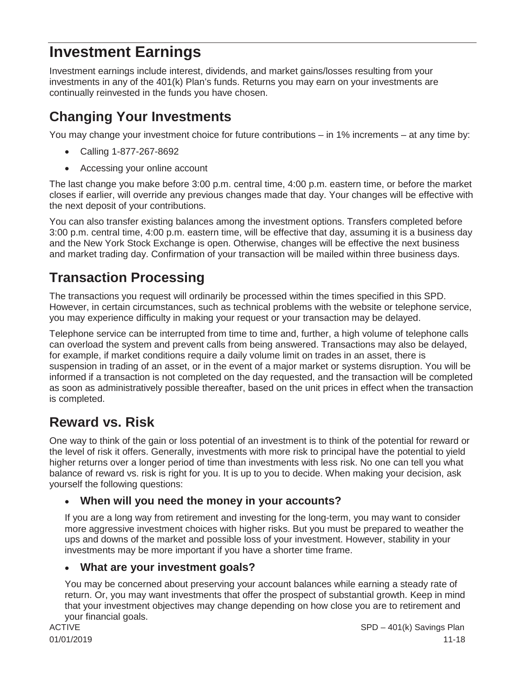## **Investment Earnings**

Investment earnings include interest, dividends, and market gains/losses resulting from your investments in any of the 401(k) Plan's funds. Returns you may earn on your investments are continually reinvested in the funds you have chosen.

### **Changing Your Investments**

You may change your investment choice for future contributions – in 1% increments – at any time by:

- Calling 1-877-267-8692
- Accessing your online account

The last change you make before 3:00 p.m. central time, 4:00 p.m. eastern time, or before the market closes if earlier, will override any previous changes made that day. Your changes will be effective with the next deposit of your contributions.

You can also transfer existing balances among the investment options. Transfers completed before 3:00 p.m. central time, 4:00 p.m. eastern time, will be effective that day, assuming it is a business day and the New York Stock Exchange is open. Otherwise, changes will be effective the next business and market trading day. Confirmation of your transaction will be mailed within three business days.

## **Transaction Processing**

The transactions you request will ordinarily be processed within the times specified in this SPD. However, in certain circumstances, such as technical problems with the website or telephone service, you may experience difficulty in making your request or your transaction may be delayed.

Telephone service can be interrupted from time to time and, further, a high volume of telephone calls can overload the system and prevent calls from being answered. Transactions may also be delayed, for example, if market conditions require a daily volume limit on trades in an asset, there is suspension in trading of an asset, or in the event of a major market or systems disruption. You will be informed if a transaction is not completed on the day requested, and the transaction will be completed as soon as administratively possible thereafter, based on the unit prices in effect when the transaction is completed.

### **Reward vs. Risk**

One way to think of the gain or loss potential of an investment is to think of the potential for reward or the level of risk it offers. Generally, investments with more risk to principal have the potential to yield higher returns over a longer period of time than investments with less risk. No one can tell you what balance of reward vs. risk is right for you. It is up to you to decide. When making your decision, ask yourself the following questions:

### x **When will you need the money in your accounts?**

If you are a long way from retirement and investing for the long-term, you may want to consider more aggressive investment choices with higher risks. But you must be prepared to weather the ups and downs of the market and possible loss of your investment. However, stability in your investments may be more important if you have a shorter time frame.

### x **What are your investment goals?**

You may be concerned about preserving your account balances while earning a steady rate of return. Or, you may want investments that offer the prospect of substantial growth. Keep in mind that your investment objectives may change depending on how close you are to retirement and your financial goals.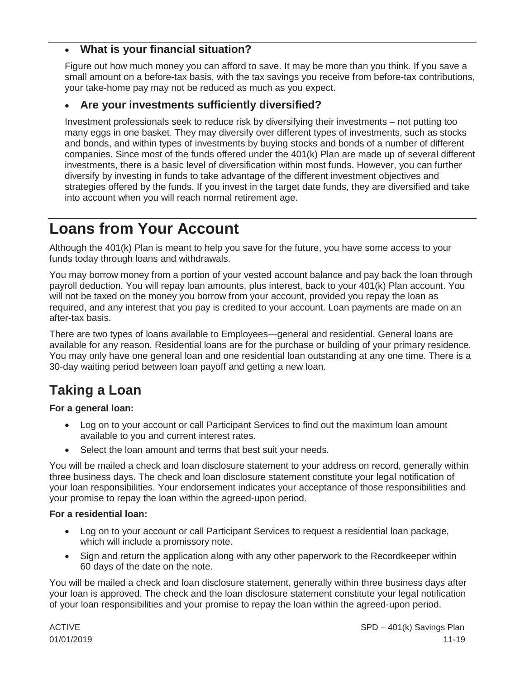### x **What is your financial situation?**

Figure out how much money you can afford to save. It may be more than you think. If you save a small amount on a before-tax basis, with the tax savings you receive from before-tax contributions, your take-home pay may not be reduced as much as you expect.

### x **Are your investments sufficiently diversified?**

Investment professionals seek to reduce risk by diversifying their investments – not putting too many eggs in one basket. They may diversify over different types of investments, such as stocks and bonds, and within types of investments by buying stocks and bonds of a number of different companies. Since most of the funds offered under the 401(k) Plan are made up of several different investments, there is a basic level of diversification within most funds. However, you can further diversify by investing in funds to take advantage of the different investment objectives and strategies offered by the funds. If you invest in the target date funds, they are diversified and take into account when you will reach normal retirement age.

## **Loans from Your Account**

Although the 401(k) Plan is meant to help you save for the future, you have some access to your funds today through loans and withdrawals.

You may borrow money from a portion of your vested account balance and pay back the loan through payroll deduction. You will repay loan amounts, plus interest, back to your 401(k) Plan account. You will not be taxed on the money you borrow from your account, provided you repay the loan as required, and any interest that you pay is credited to your account. Loan payments are made on an after-tax basis.

There are two types of loans available to Employees—general and residential. General loans are available for any reason. Residential loans are for the purchase or building of your primary residence. You may only have one general loan and one residential loan outstanding at any one time. There is a 30-day waiting period between loan payoff and getting a new loan.

## **Taking a Loan**

#### **For a general loan:**

- Log on to your account or call Participant Services to find out the maximum loan amount available to you and current interest rates.
- Select the loan amount and terms that best suit your needs.

You will be mailed a check and loan disclosure statement to your address on record, generally within three business days. The check and loan disclosure statement constitute your legal notification of your loan responsibilities. Your endorsement indicates your acceptance of those responsibilities and your promise to repay the loan within the agreed-upon period.

#### **For a residential loan:**

- Log on to your account or call Participant Services to request a residential loan package, which will include a promissory note.
- Sign and return the application along with any other paperwork to the Recordkeeper within 60 days of the date on the note.

You will be mailed a check and loan disclosure statement, generally within three business days after your loan is approved. The check and the loan disclosure statement constitute your legal notification of your loan responsibilities and your promise to repay the loan within the agreed-upon period.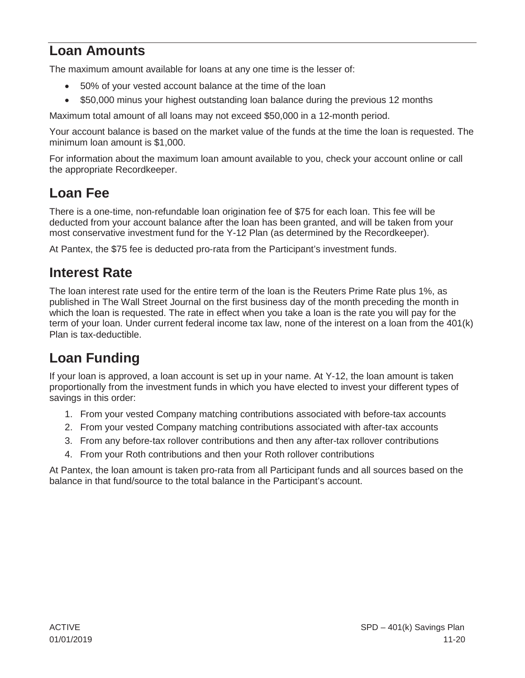### **Loan Amounts**

The maximum amount available for loans at any one time is the lesser of:

- 50% of your vested account balance at the time of the loan
- \$50,000 minus your highest outstanding loan balance during the previous 12 months

Maximum total amount of all loans may not exceed \$50,000 in a 12-month period.

Your account balance is based on the market value of the funds at the time the loan is requested. The minimum loan amount is \$1,000.

For information about the maximum loan amount available to you, check your account online or call the appropriate Recordkeeper.

## **Loan Fee**

There is a one-time, non-refundable loan origination fee of \$75 for each loan. This fee will be deducted from your account balance after the loan has been granted, and will be taken from your most conservative investment fund for the Y-12 Plan (as determined by the Recordkeeper).

At Pantex, the \$75 fee is deducted pro-rata from the Participant's investment funds.

### **Interest Rate**

The loan interest rate used for the entire term of the loan is the Reuters Prime Rate plus 1%, as published in The Wall Street Journal on the first business day of the month preceding the month in which the loan is requested. The rate in effect when you take a loan is the rate you will pay for the term of your loan. Under current federal income tax law, none of the interest on a loan from the 401(k) Plan is tax-deductible.

## **Loan Funding**

If your loan is approved, a loan account is set up in your name. At Y-12, the loan amount is taken proportionally from the investment funds in which you have elected to invest your different types of savings in this order:

- 1. From your vested Company matching contributions associated with before-tax accounts
- 2. From your vested Company matching contributions associated with after-tax accounts
- 3. From any before-tax rollover contributions and then any after-tax rollover contributions
- 4. From your Roth contributions and then your Roth rollover contributions

At Pantex, the loan amount is taken pro-rata from all Participant funds and all sources based on the balance in that fund/source to the total balance in the Participant's account.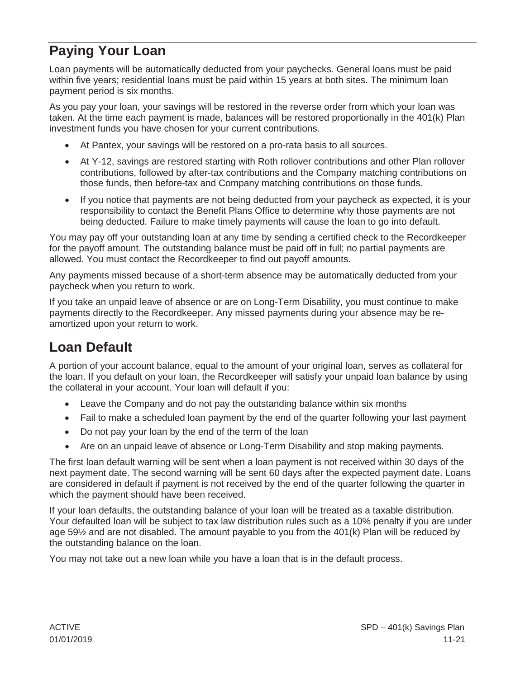### **Paying Your Loan**

Loan payments will be automatically deducted from your paychecks. General loans must be paid within five years; residential loans must be paid within 15 years at both sites. The minimum loan payment period is six months.

As you pay your loan, your savings will be restored in the reverse order from which your loan was taken. At the time each payment is made, balances will be restored proportionally in the 401(k) Plan investment funds you have chosen for your current contributions.

- At Pantex, your savings will be restored on a pro-rata basis to all sources.
- At Y-12, savings are restored starting with Roth rollover contributions and other Plan rollover contributions, followed by after-tax contributions and the Company matching contributions on those funds, then before-tax and Company matching contributions on those funds.
- If you notice that payments are not being deducted from your paycheck as expected, it is your responsibility to contact the Benefit Plans Office to determine why those payments are not being deducted. Failure to make timely payments will cause the loan to go into default.

You may pay off your outstanding loan at any time by sending a certified check to the Recordkeeper for the payoff amount. The outstanding balance must be paid off in full; no partial payments are allowed. You must contact the Recordkeeper to find out payoff amounts.

Any payments missed because of a short-term absence may be automatically deducted from your paycheck when you return to work.

If you take an unpaid leave of absence or are on Long-Term Disability, you must continue to make payments directly to the Recordkeeper. Any missed payments during your absence may be reamortized upon your return to work.

### **Loan Default**

A portion of your account balance, equal to the amount of your original loan, serves as collateral for the loan. If you default on your loan, the Recordkeeper will satisfy your unpaid loan balance by using the collateral in your account. Your loan will default if you:

- Leave the Company and do not pay the outstanding balance within six months
- Fail to make a scheduled loan payment by the end of the quarter following your last payment
- Do not pay your loan by the end of the term of the loan
- Are on an unpaid leave of absence or Long-Term Disability and stop making payments.

The first loan default warning will be sent when a loan payment is not received within 30 days of the next payment date. The second warning will be sent 60 days after the expected payment date. Loans are considered in default if payment is not received by the end of the quarter following the quarter in which the payment should have been received.

If your loan defaults, the outstanding balance of your loan will be treated as a taxable distribution. Your defaulted loan will be subject to tax law distribution rules such as a 10% penalty if you are under age 59½ and are not disabled. The amount payable to you from the 401(k) Plan will be reduced by the outstanding balance on the loan.

You may not take out a new loan while you have a loan that is in the default process.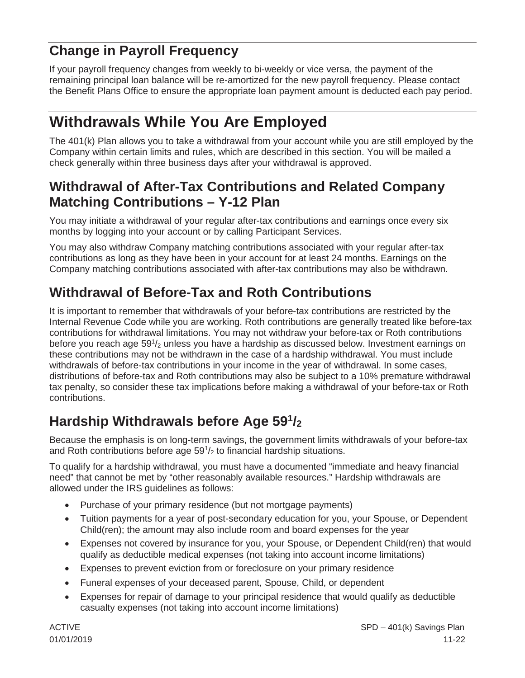### **Change in Payroll Frequency**

If your payroll frequency changes from weekly to bi-weekly or vice versa, the payment of the remaining principal loan balance will be re-amortized for the new payroll frequency. Please contact the Benefit Plans Office to ensure the appropriate loan payment amount is deducted each pay period.

## **Withdrawals While You Are Employed**

The 401(k) Plan allows you to take a withdrawal from your account while you are still employed by the Company within certain limits and rules, which are described in this section. You will be mailed a check generally within three business days after your withdrawal is approved.

### **Withdrawal of After-Tax Contributions and Related Company Matching Contributions – Y-12 Plan**

You may initiate a withdrawal of your regular after-tax contributions and earnings once every six months by logging into your account or by calling Participant Services.

You may also withdraw Company matching contributions associated with your regular after-tax contributions as long as they have been in your account for at least 24 months. Earnings on the Company matching contributions associated with after-tax contributions may also be withdrawn.

## **Withdrawal of Before-Tax and Roth Contributions**

It is important to remember that withdrawals of your before-tax contributions are restricted by the Internal Revenue Code while you are working. Roth contributions are generally treated like before-tax contributions for withdrawal limitations. You may not withdraw your before-tax or Roth contributions before you reach age 59<sup>1</sup>/<sub>2</sub> unless you have a hardship as discussed below. Investment earnings on these contributions may not be withdrawn in the case of a hardship withdrawal. You must include withdrawals of before-tax contributions in your income in the year of withdrawal. In some cases, distributions of before-tax and Roth contributions may also be subject to a 10% premature withdrawal tax penalty, so consider these tax implications before making a withdrawal of your before-tax or Roth contributions.

## **Hardship Withdrawals before Age 591/2**

Because the emphasis is on long-term savings, the government limits withdrawals of your before-tax and Roth contributions before age  $59<sup>1</sup>/2$  to financial hardship situations.

To qualify for a hardship withdrawal, you must have a documented "immediate and heavy financial need" that cannot be met by "other reasonably available resources." Hardship withdrawals are allowed under the IRS guidelines as follows:

- Purchase of your primary residence (but not mortgage payments)
- Tuition payments for a year of post-secondary education for you, your Spouse, or Dependent Child(ren); the amount may also include room and board expenses for the year
- Expenses not covered by insurance for you, your Spouse, or Dependent Child(ren) that would qualify as deductible medical expenses (not taking into account income limitations)
- Expenses to prevent eviction from or foreclosure on your primary residence
- Funeral expenses of your deceased parent, Spouse, Child, or dependent
- Expenses for repair of damage to your principal residence that would qualify as deductible casualty expenses (not taking into account income limitations)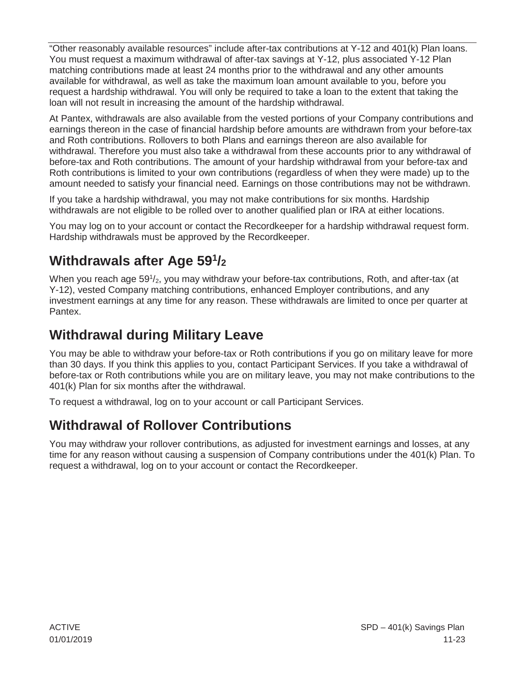"Other reasonably available resources" include after-tax contributions at Y-12 and 401(k) Plan loans. You must request a maximum withdrawal of after-tax savings at Y-12, plus associated Y-12 Plan matching contributions made at least 24 months prior to the withdrawal and any other amounts available for withdrawal, as well as take the maximum loan amount available to you, before you request a hardship withdrawal. You will only be required to take a loan to the extent that taking the loan will not result in increasing the amount of the hardship withdrawal.

At Pantex, withdrawals are also available from the vested portions of your Company contributions and earnings thereon in the case of financial hardship before amounts are withdrawn from your before-tax and Roth contributions. Rollovers to both Plans and earnings thereon are also available for withdrawal. Therefore you must also take a withdrawal from these accounts prior to any withdrawal of before-tax and Roth contributions. The amount of your hardship withdrawal from your before-tax and Roth contributions is limited to your own contributions (regardless of when they were made) up to the amount needed to satisfy your financial need. Earnings on those contributions may not be withdrawn.

If you take a hardship withdrawal, you may not make contributions for six months. Hardship withdrawals are not eligible to be rolled over to another qualified plan or IRA at either locations.

You may log on to your account or contact the Recordkeeper for a hardship withdrawal request form. Hardship withdrawals must be approved by the Recordkeeper.

### **Withdrawals after Age 591/2**

When you reach age 59<sup>1</sup>/<sub>2</sub>, you may withdraw your before-tax contributions, Roth, and after-tax (at Y-12), vested Company matching contributions, enhanced Employer contributions, and any investment earnings at any time for any reason. These withdrawals are limited to once per quarter at Pantex.

### **Withdrawal during Military Leave**

You may be able to withdraw your before-tax or Roth contributions if you go on military leave for more than 30 days. If you think this applies to you, contact Participant Services. If you take a withdrawal of before-tax or Roth contributions while you are on military leave, you may not make contributions to the 401(k) Plan for six months after the withdrawal.

To request a withdrawal, log on to your account or call Participant Services.

### **Withdrawal of Rollover Contributions**

You may withdraw your rollover contributions, as adjusted for investment earnings and losses, at any time for any reason without causing a suspension of Company contributions under the 401(k) Plan. To request a withdrawal, log on to your account or contact the Recordkeeper.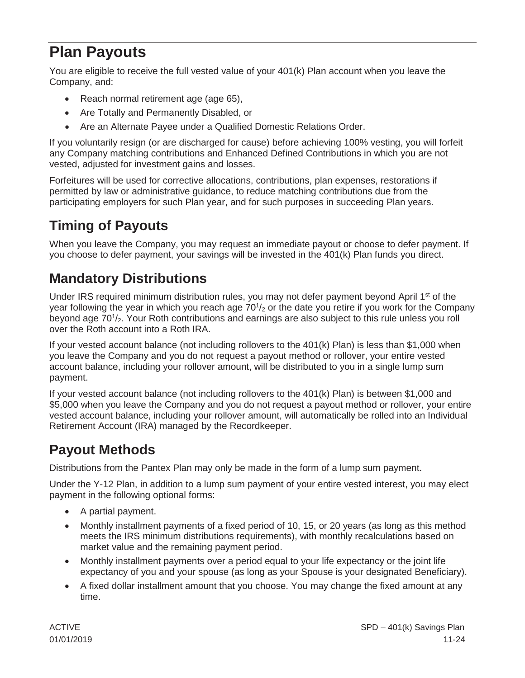## **Plan Payouts**

You are eligible to receive the full vested value of your 401(k) Plan account when you leave the Company, and:

- $\bullet$  Reach normal retirement age (age 65),
- Are Totally and Permanently Disabled, or
- Are an Alternate Payee under a Qualified Domestic Relations Order.

If you voluntarily resign (or are discharged for cause) before achieving 100% vesting, you will forfeit any Company matching contributions and Enhanced Defined Contributions in which you are not vested, adjusted for investment gains and losses.

Forfeitures will be used for corrective allocations, contributions, plan expenses, restorations if permitted by law or administrative guidance, to reduce matching contributions due from the participating employers for such Plan year, and for such purposes in succeeding Plan years.

## **Timing of Payouts**

When you leave the Company, you may request an immediate payout or choose to defer payment. If you choose to defer payment, your savings will be invested in the 401(k) Plan funds you direct.

## **Mandatory Distributions**

Under IRS required minimum distribution rules, you may not defer payment beyond April 1<sup>st</sup> of the year following the year in which you reach age  $70\frac{1}{2}$  or the date you retire if you work for the Company beyond age 70<sup>1</sup>/<sub>2</sub>. Your Roth contributions and earnings are also subject to this rule unless you roll over the Roth account into a Roth IRA.

If your vested account balance (not including rollovers to the 401(k) Plan) is less than \$1,000 when you leave the Company and you do not request a payout method or rollover, your entire vested account balance, including your rollover amount, will be distributed to you in a single lump sum payment.

If your vested account balance (not including rollovers to the 401(k) Plan) is between \$1,000 and \$5,000 when you leave the Company and you do not request a payout method or rollover, your entire vested account balance, including your rollover amount, will automatically be rolled into an Individual Retirement Account (IRA) managed by the Recordkeeper.

## **Payout Methods**

Distributions from the Pantex Plan may only be made in the form of a lump sum payment.

Under the Y-12 Plan, in addition to a lump sum payment of your entire vested interest, you may elect payment in the following optional forms:

- A partial payment.
- Monthly installment payments of a fixed period of 10, 15, or 20 years (as long as this method meets the IRS minimum distributions requirements), with monthly recalculations based on market value and the remaining payment period.
- Monthly installment payments over a period equal to your life expectancy or the joint life expectancy of you and your spouse (as long as your Spouse is your designated Beneficiary).
- A fixed dollar installment amount that you choose. You may change the fixed amount at any time.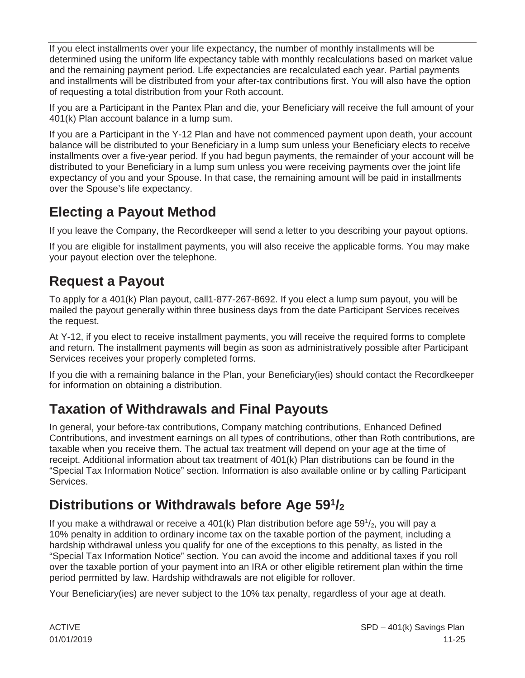If you elect installments over your life expectancy, the number of monthly installments will be determined using the uniform life expectancy table with monthly recalculations based on market value and the remaining payment period. Life expectancies are recalculated each year. Partial payments and installments will be distributed from your after-tax contributions first. You will also have the option of requesting a total distribution from your Roth account.

If you are a Participant in the Pantex Plan and die, your Beneficiary will receive the full amount of your 401(k) Plan account balance in a lump sum.

If you are a Participant in the Y-12 Plan and have not commenced payment upon death, your account balance will be distributed to your Beneficiary in a lump sum unless your Beneficiary elects to receive installments over a five-year period. If you had begun payments, the remainder of your account will be distributed to your Beneficiary in a lump sum unless you were receiving payments over the joint life expectancy of you and your Spouse. In that case, the remaining amount will be paid in installments over the Spouse's life expectancy.

### **Electing a Payout Method**

If you leave the Company, the Recordkeeper will send a letter to you describing your payout options.

If you are eligible for installment payments, you will also receive the applicable forms. You may make your payout election over the telephone.

### **Request a Payout**

To apply for a 401(k) Plan payout, call1-877-267-8692. If you elect a lump sum payout, you will be mailed the payout generally within three business days from the date Participant Services receives the request.

At Y-12, if you elect to receive installment payments, you will receive the required forms to complete and return. The installment payments will begin as soon as administratively possible after Participant Services receives your properly completed forms.

If you die with a remaining balance in the Plan, your Beneficiary(ies) should contact the Recordkeeper for information on obtaining a distribution.

### **Taxation of Withdrawals and Final Payouts**

In general, your before-tax contributions, Company matching contributions, Enhanced Defined Contributions, and investment earnings on all types of contributions, other than Roth contributions, are taxable when you receive them. The actual tax treatment will depend on your age at the time of receipt. Additional information about tax treatment of 401(k) Plan distributions can be found in the "Special Tax Information Notice" section. Information is also available online or by calling Participant Services.

### **Distributions or Withdrawals before Age 591/2**

If you make a withdrawal or receive a 401 $(k)$  Plan distribution before age 59 $\frac{1}{2}$ , you will pay a 10% penalty in addition to ordinary income tax on the taxable portion of the payment, including a hardship withdrawal unless you qualify for one of the exceptions to this penalty, as listed in the "Special Tax Information Notice" section. You can avoid the income and additional taxes if you roll over the taxable portion of your payment into an IRA or other eligible retirement plan within the time period permitted by law. Hardship withdrawals are not eligible for rollover.

Your Beneficiary(ies) are never subject to the 10% tax penalty, regardless of your age at death.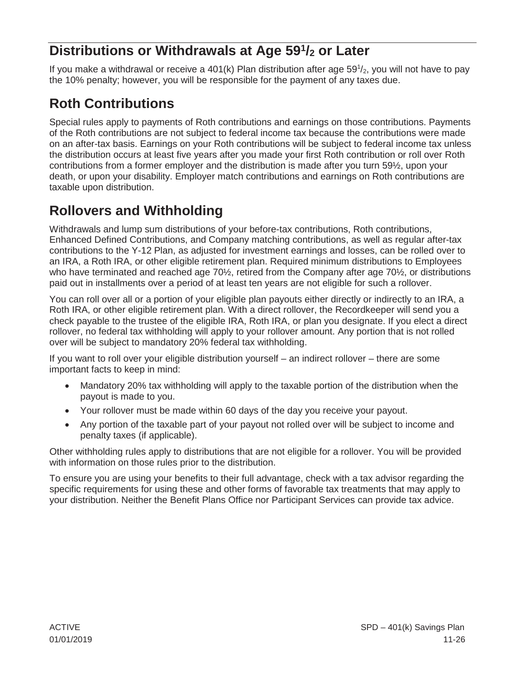### **Distributions or Withdrawals at Age 59<sup>1</sup>/<sub>2</sub> or Later**

If you make a withdrawal or receive a 401(k) Plan distribution after age  $59<sup>1</sup>/<sub>2</sub>$ , you will not have to pay the 10% penalty; however, you will be responsible for the payment of any taxes due.

## **Roth Contributions**

Special rules apply to payments of Roth contributions and earnings on those contributions. Payments of the Roth contributions are not subject to federal income tax because the contributions were made on an after-tax basis. Earnings on your Roth contributions will be subject to federal income tax unless the distribution occurs at least five years after you made your first Roth contribution or roll over Roth contributions from a former employer and the distribution is made after you turn 59½, upon your death, or upon your disability. Employer match contributions and earnings on Roth contributions are taxable upon distribution.

## **Rollovers and Withholding**

Withdrawals and lump sum distributions of your before-tax contributions, Roth contributions, Enhanced Defined Contributions, and Company matching contributions, as well as regular after-tax contributions to the Y-12 Plan, as adjusted for investment earnings and losses, can be rolled over to an IRA, a Roth IRA, or other eligible retirement plan. Required minimum distributions to Employees who have terminated and reached age 70½, retired from the Company after age 70½, or distributions paid out in installments over a period of at least ten years are not eligible for such a rollover.

You can roll over all or a portion of your eligible plan payouts either directly or indirectly to an IRA, a Roth IRA, or other eligible retirement plan. With a direct rollover, the Recordkeeper will send you a check payable to the trustee of the eligible IRA, Roth IRA, or plan you designate. If you elect a direct rollover, no federal tax withholding will apply to your rollover amount. Any portion that is not rolled over will be subject to mandatory 20% federal tax withholding.

If you want to roll over your eligible distribution yourself – an indirect rollover – there are some important facts to keep in mind:

- Mandatory 20% tax withholding will apply to the taxable portion of the distribution when the payout is made to you.
- Your rollover must be made within 60 days of the day you receive your payout.
- Any portion of the taxable part of your payout not rolled over will be subject to income and penalty taxes (if applicable).

Other withholding rules apply to distributions that are not eligible for a rollover. You will be provided with information on those rules prior to the distribution.

To ensure you are using your benefits to their full advantage, check with a tax advisor regarding the specific requirements for using these and other forms of favorable tax treatments that may apply to your distribution. Neither the Benefit Plans Office nor Participant Services can provide tax advice.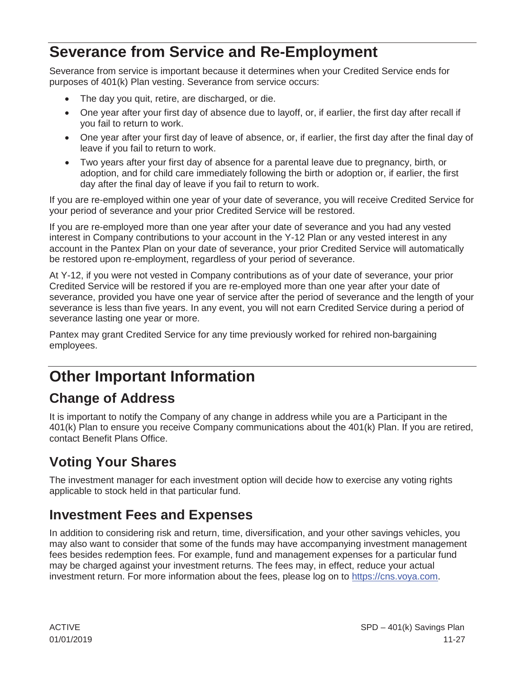## **Severance from Service and Re-Employment**

Severance from service is important because it determines when your Credited Service ends for purposes of 401(k) Plan vesting. Severance from service occurs:

- The day you quit, retire, are discharged, or die.
- One year after your first day of absence due to layoff, or, if earlier, the first day after recall if you fail to return to work.
- One year after your first day of leave of absence, or, if earlier, the first day after the final day of leave if you fail to return to work.
- Two years after your first day of absence for a parental leave due to pregnancy, birth, or adoption, and for child care immediately following the birth or adoption or, if earlier, the first day after the final day of leave if you fail to return to work.

If you are re-employed within one year of your date of severance, you will receive Credited Service for your period of severance and your prior Credited Service will be restored.

If you are re-employed more than one year after your date of severance and you had any vested interest in Company contributions to your account in the Y-12 Plan or any vested interest in any account in the Pantex Plan on your date of severance, your prior Credited Service will automatically be restored upon re-employment, regardless of your period of severance.

At Y-12, if you were not vested in Company contributions as of your date of severance, your prior Credited Service will be restored if you are re-employed more than one year after your date of severance, provided you have one year of service after the period of severance and the length of your severance is less than five years. In any event, you will not earn Credited Service during a period of severance lasting one year or more.

Pantex may grant Credited Service for any time previously worked for rehired non-bargaining employees.

## **Other Important Information**

### **Change of Address**

It is important to notify the Company of any change in address while you are a Participant in the 401(k) Plan to ensure you receive Company communications about the 401(k) Plan. If you are retired, contact Benefit Plans Office.

### **Voting Your Shares**

The investment manager for each investment option will decide how to exercise any voting rights applicable to stock held in that particular fund.

### **Investment Fees and Expenses**

In addition to considering risk and return, time, diversification, and your other savings vehicles, you may also want to consider that some of the funds may have accompanying investment management fees besides redemption fees. For example, fund and management expenses for a particular fund may be charged against your investment returns. The fees may, in effect, reduce your actual investment return. For more information about the fees, please log on to https://cns.voya.com.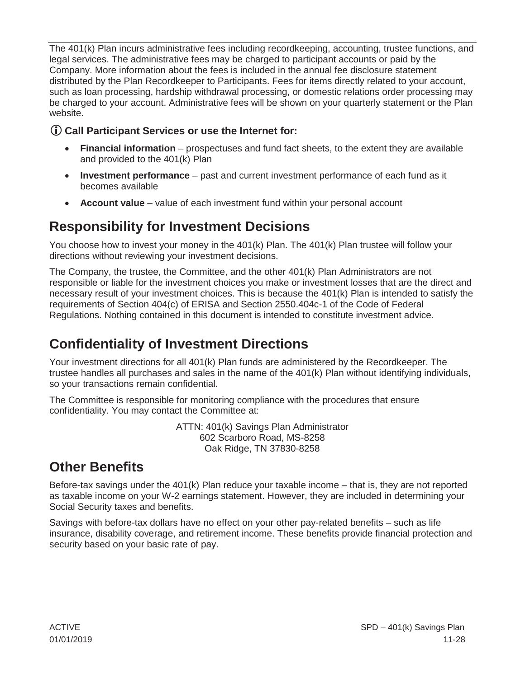The 401(k) Plan incurs administrative fees including recordkeeping, accounting, trustee functions, and legal services. The administrative fees may be charged to participant accounts or paid by the Company. More information about the fees is included in the annual fee disclosure statement distributed by the Plan Recordkeeper to Participants. Fees for items directly related to your account, such as loan processing, hardship withdrawal processing, or domestic relations order processing may be charged to your account. Administrative fees will be shown on your quarterly statement or the Plan website.

### L**Call Participant Services or use the Internet for:**

- **Financial information** prospectuses and fund fact sheets, to the extent they are available and provided to the 401(k) Plan
- **Investment performance** past and current investment performance of each fund as it becomes available
- **Account value** value of each investment fund within your personal account

### **Responsibility for Investment Decisions**

You choose how to invest your money in the 401(k) Plan. The 401(k) Plan trustee will follow your directions without reviewing your investment decisions.

The Company, the trustee, the Committee, and the other 401(k) Plan Administrators are not responsible or liable for the investment choices you make or investment losses that are the direct and necessary result of your investment choices. This is because the 401(k) Plan is intended to satisfy the requirements of Section 404(c) of ERISA and Section 2550.404c-1 of the Code of Federal Regulations. Nothing contained in this document is intended to constitute investment advice.

### **Confidentiality of Investment Directions**

Your investment directions for all 401(k) Plan funds are administered by the Recordkeeper. The trustee handles all purchases and sales in the name of the 401(k) Plan without identifying individuals, so your transactions remain confidential.

The Committee is responsible for monitoring compliance with the procedures that ensure confidentiality. You may contact the Committee at:

> ATTN: 401(k) Savings Plan Administrator 602 Scarboro Road, MS-8258 Oak Ridge, TN 37830-8258

### **Other Benefits**

Before-tax savings under the 401(k) Plan reduce your taxable income – that is, they are not reported as taxable income on your W-2 earnings statement. However, they are included in determining your Social Security taxes and benefits.

Savings with before-tax dollars have no effect on your other pay-related benefits – such as life insurance, disability coverage, and retirement income. These benefits provide financial protection and security based on your basic rate of pay.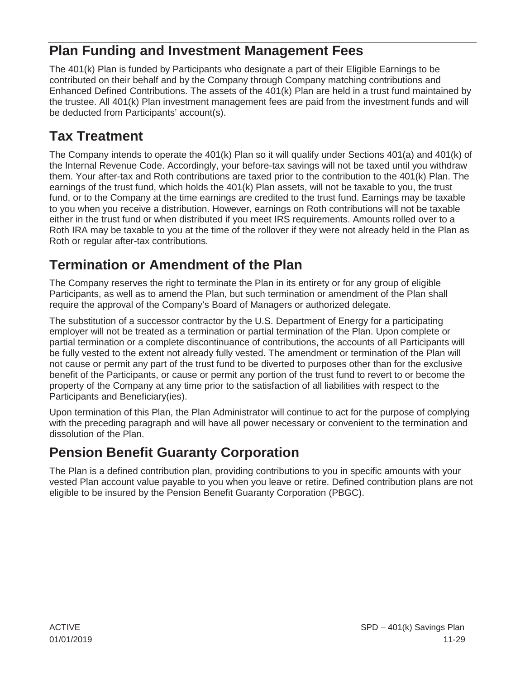### **Plan Funding and Investment Management Fees**

The 401(k) Plan is funded by Participants who designate a part of their Eligible Earnings to be contributed on their behalf and by the Company through Company matching contributions and Enhanced Defined Contributions. The assets of the 401(k) Plan are held in a trust fund maintained by the trustee. All 401(k) Plan investment management fees are paid from the investment funds and will be deducted from Participants' account(s).

## **Tax Treatment**

The Company intends to operate the 401(k) Plan so it will qualify under Sections 401(a) and 401(k) of the Internal Revenue Code. Accordingly, your before-tax savings will not be taxed until you withdraw them. Your after-tax and Roth contributions are taxed prior to the contribution to the 401(k) Plan. The earnings of the trust fund, which holds the 401(k) Plan assets, will not be taxable to you, the trust fund, or to the Company at the time earnings are credited to the trust fund. Earnings may be taxable to you when you receive a distribution. However, earnings on Roth contributions will not be taxable either in the trust fund or when distributed if you meet IRS requirements. Amounts rolled over to a Roth IRA may be taxable to you at the time of the rollover if they were not already held in the Plan as Roth or regular after-tax contributions.

### **Termination or Amendment of the Plan**

The Company reserves the right to terminate the Plan in its entirety or for any group of eligible Participants, as well as to amend the Plan, but such termination or amendment of the Plan shall require the approval of the Company's Board of Managers or authorized delegate.

The substitution of a successor contractor by the U.S. Department of Energy for a participating employer will not be treated as a termination or partial termination of the Plan. Upon complete or partial termination or a complete discontinuance of contributions, the accounts of all Participants will be fully vested to the extent not already fully vested. The amendment or termination of the Plan will not cause or permit any part of the trust fund to be diverted to purposes other than for the exclusive benefit of the Participants, or cause or permit any portion of the trust fund to revert to or become the property of the Company at any time prior to the satisfaction of all liabilities with respect to the Participants and Beneficiary(ies).

Upon termination of this Plan, the Plan Administrator will continue to act for the purpose of complying with the preceding paragraph and will have all power necessary or convenient to the termination and dissolution of the Plan.

### **Pension Benefit Guaranty Corporation**

The Plan is a defined contribution plan, providing contributions to you in specific amounts with your vested Plan account value payable to you when you leave or retire. Defined contribution plans are not eligible to be insured by the Pension Benefit Guaranty Corporation (PBGC).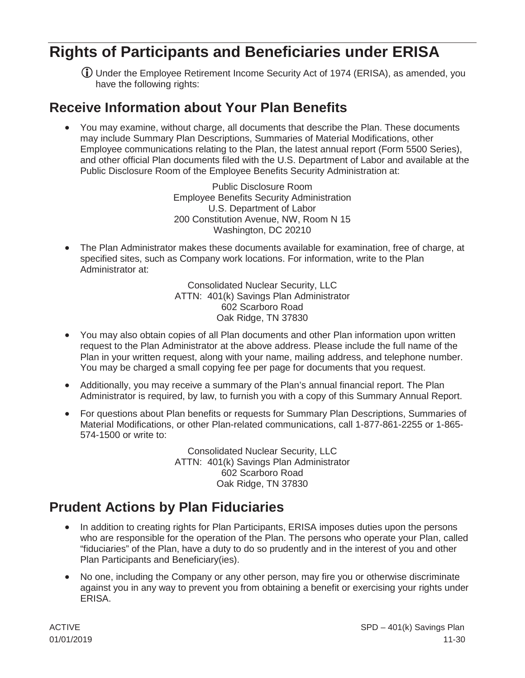## **Rights of Participants and Beneficiaries under ERISA**

LUnder the Employee Retirement Income Security Act of 1974 (ERISA), as amended, you have the following rights:

### **Receive Information about Your Plan Benefits**

• You may examine, without charge, all documents that describe the Plan. These documents may include Summary Plan Descriptions, Summaries of Material Modifications, other Employee communications relating to the Plan, the latest annual report (Form 5500 Series), and other official Plan documents filed with the U.S. Department of Labor and available at the Public Disclosure Room of the Employee Benefits Security Administration at:

> Public Disclosure Room Employee Benefits Security Administration U.S. Department of Labor 200 Constitution Avenue, NW, Room N 15 Washington, DC 20210

• The Plan Administrator makes these documents available for examination, free of charge, at specified sites, such as Company work locations. For information, write to the Plan Administrator at:

> Consolidated Nuclear Security, LLC ATTN: 401(k) Savings Plan Administrator 602 Scarboro Road Oak Ridge, TN 37830

- You may also obtain copies of all Plan documents and other Plan information upon written request to the Plan Administrator at the above address. Please include the full name of the Plan in your written request, along with your name, mailing address, and telephone number. You may be charged a small copying fee per page for documents that you request.
- Additionally, you may receive a summary of the Plan's annual financial report. The Plan Administrator is required, by law, to furnish you with a copy of this Summary Annual Report.
- For questions about Plan benefits or requests for Summary Plan Descriptions, Summaries of Material Modifications, or other Plan-related communications, call 1-877-861-2255 or 1-865- 574-1500 or write to:

Consolidated Nuclear Security, LLC ATTN: 401(k) Savings Plan Administrator 602 Scarboro Road Oak Ridge, TN 37830

### **Prudent Actions by Plan Fiduciaries**

- In addition to creating rights for Plan Participants, ERISA imposes duties upon the persons who are responsible for the operation of the Plan. The persons who operate your Plan, called "fiduciaries" of the Plan, have a duty to do so prudently and in the interest of you and other Plan Participants and Beneficiary(ies).
- No one, including the Company or any other person, may fire you or otherwise discriminate against you in any way to prevent you from obtaining a benefit or exercising your rights under ERISA.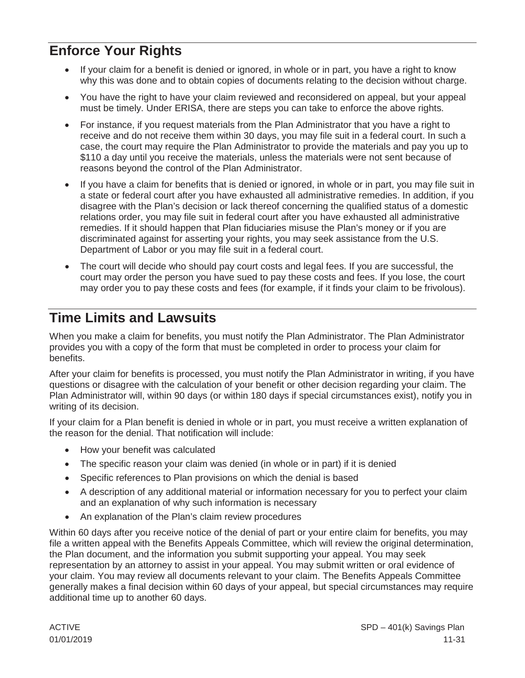### **Enforce Your Rights**

- If your claim for a benefit is denied or ignored, in whole or in part, you have a right to know why this was done and to obtain copies of documents relating to the decision without charge.
- You have the right to have your claim reviewed and reconsidered on appeal, but your appeal must be timely. Under ERISA, there are steps you can take to enforce the above rights.
- For instance, if you request materials from the Plan Administrator that you have a right to receive and do not receive them within 30 days, you may file suit in a federal court. In such a case, the court may require the Plan Administrator to provide the materials and pay you up to \$110 a day until you receive the materials, unless the materials were not sent because of reasons beyond the control of the Plan Administrator.
- If you have a claim for benefits that is denied or ignored, in whole or in part, you may file suit in a state or federal court after you have exhausted all administrative remedies. In addition, if you disagree with the Plan's decision or lack thereof concerning the qualified status of a domestic relations order, you may file suit in federal court after you have exhausted all administrative remedies. If it should happen that Plan fiduciaries misuse the Plan's money or if you are discriminated against for asserting your rights, you may seek assistance from the U.S. Department of Labor or you may file suit in a federal court.
- The court will decide who should pay court costs and legal fees. If you are successful, the court may order the person you have sued to pay these costs and fees. If you lose, the court may order you to pay these costs and fees (for example, if it finds your claim to be frivolous).

### **Time Limits and Lawsuits**

When you make a claim for benefits, you must notify the Plan Administrator. The Plan Administrator provides you with a copy of the form that must be completed in order to process your claim for benefits.

After your claim for benefits is processed, you must notify the Plan Administrator in writing, if you have questions or disagree with the calculation of your benefit or other decision regarding your claim. The Plan Administrator will, within 90 days (or within 180 days if special circumstances exist), notify you in writing of its decision.

If your claim for a Plan benefit is denied in whole or in part, you must receive a written explanation of the reason for the denial. That notification will include:

- How your benefit was calculated
- $\bullet$  The specific reason your claim was denied (in whole or in part) if it is denied
- Specific references to Plan provisions on which the denial is based
- A description of any additional material or information necessary for you to perfect your claim and an explanation of why such information is necessary
- An explanation of the Plan's claim review procedures

Within 60 days after you receive notice of the denial of part or your entire claim for benefits, you may file a written appeal with the Benefits Appeals Committee, which will review the original determination, the Plan document, and the information you submit supporting your appeal. You may seek representation by an attorney to assist in your appeal. You may submit written or oral evidence of your claim. You may review all documents relevant to your claim. The Benefits Appeals Committee generally makes a final decision within 60 days of your appeal, but special circumstances may require additional time up to another 60 days.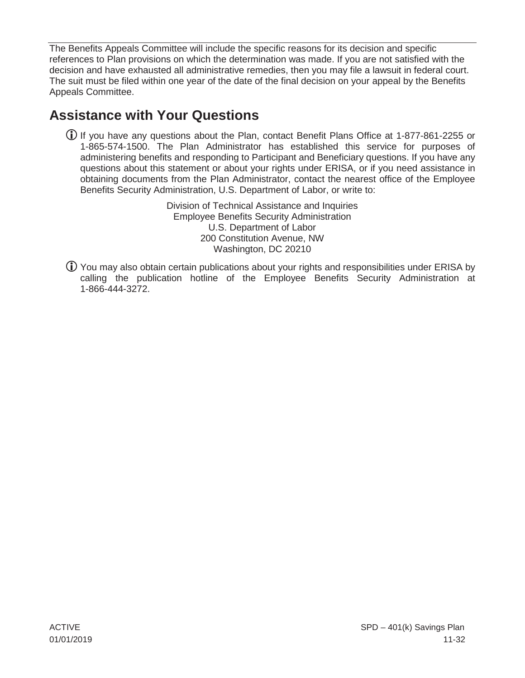The Benefits Appeals Committee will include the specific reasons for its decision and specific references to Plan provisions on which the determination was made. If you are not satisfied with the decision and have exhausted all administrative remedies, then you may file a lawsuit in federal court. The suit must be filed within one year of the date of the final decision on your appeal by the Benefits Appeals Committee.

### **Assistance with Your Questions**

LIf you have any questions about the Plan, contact Benefit Plans Office at 1-877-861-2255 or 1-865-574-1500. The Plan Administrator has established this service for purposes of administering benefits and responding to Participant and Beneficiary questions. If you have any questions about this statement or about your rights under ERISA, or if you need assistance in obtaining documents from the Plan Administrator, contact the nearest office of the Employee Benefits Security Administration, U.S. Department of Labor, or write to:

> Division of Technical Assistance and Inquiries Employee Benefits Security Administration U.S. Department of Labor 200 Constitution Avenue, NW Washington, DC 20210

LYou may also obtain certain publications about your rights and responsibilities under ERISA by calling the publication hotline of the Employee Benefits Security Administration at 1-866-444-3272.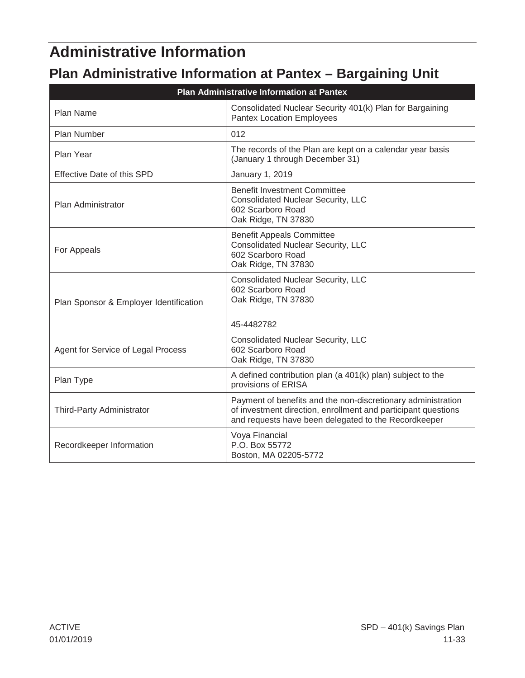## **Administrative Information**

## **Plan Administrative Information at Pantex – Bargaining Unit**

| <b>Plan Administrative Information at Pantex</b> |                                                                                                                                                                                       |
|--------------------------------------------------|---------------------------------------------------------------------------------------------------------------------------------------------------------------------------------------|
| <b>Plan Name</b>                                 | Consolidated Nuclear Security 401(k) Plan for Bargaining<br>Pantex Location Employees                                                                                                 |
| <b>Plan Number</b>                               | 012                                                                                                                                                                                   |
| Plan Year                                        | The records of the Plan are kept on a calendar year basis<br>(January 1 through December 31)                                                                                          |
| <b>Effective Date of this SPD</b>                | January 1, 2019                                                                                                                                                                       |
| <b>Plan Administrator</b>                        | <b>Benefit Investment Committee</b><br><b>Consolidated Nuclear Security, LLC</b><br>602 Scarboro Road<br>Oak Ridge, TN 37830                                                          |
| For Appeals                                      | <b>Benefit Appeals Committee</b><br><b>Consolidated Nuclear Security, LLC</b><br>602 Scarboro Road<br>Oak Ridge, TN 37830                                                             |
| Plan Sponsor & Employer Identification           | Consolidated Nuclear Security, LLC<br>602 Scarboro Road<br>Oak Ridge, TN 37830<br>45-4482782                                                                                          |
|                                                  |                                                                                                                                                                                       |
| Agent for Service of Legal Process               | Consolidated Nuclear Security, LLC<br>602 Scarboro Road<br>Oak Ridge, TN 37830                                                                                                        |
| Plan Type                                        | A defined contribution plan (a 401(k) plan) subject to the<br>provisions of ERISA                                                                                                     |
| Third-Party Administrator                        | Payment of benefits and the non-discretionary administration<br>of investment direction, enrollment and participant questions<br>and requests have been delegated to the Recordkeeper |
| Recordkeeper Information                         | Voya Financial<br>P.O. Box 55772<br>Boston, MA 02205-5772                                                                                                                             |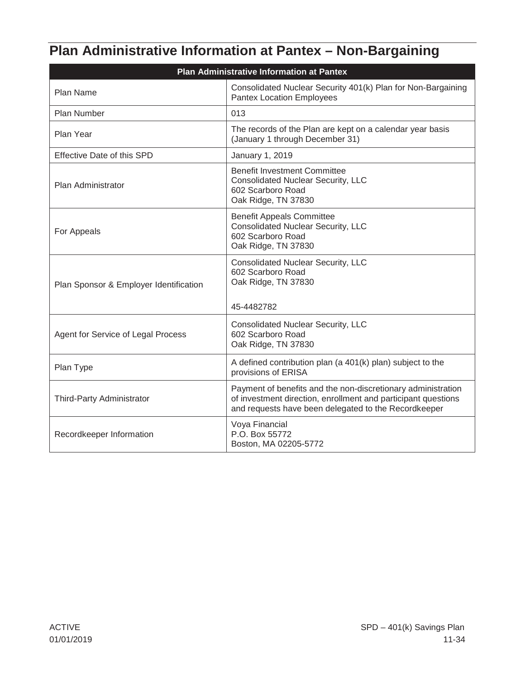## **Plan Administrative Information at Pantex – Non-Bargaining**

| <b>Plan Administrative Information at Pantex</b> |                                                                                                                                                                                       |
|--------------------------------------------------|---------------------------------------------------------------------------------------------------------------------------------------------------------------------------------------|
| Plan Name                                        | Consolidated Nuclear Security 401(k) Plan for Non-Bargaining<br><b>Pantex Location Employees</b>                                                                                      |
| Plan Number                                      | 013                                                                                                                                                                                   |
| Plan Year                                        | The records of the Plan are kept on a calendar year basis<br>(January 1 through December 31)                                                                                          |
| Effective Date of this SPD                       | January 1, 2019                                                                                                                                                                       |
| <b>Plan Administrator</b>                        | <b>Benefit Investment Committee</b><br><b>Consolidated Nuclear Security, LLC</b><br>602 Scarboro Road<br>Oak Ridge, TN 37830                                                          |
| For Appeals                                      | <b>Benefit Appeals Committee</b><br><b>Consolidated Nuclear Security, LLC</b><br>602 Scarboro Road<br>Oak Ridge, TN 37830                                                             |
| Plan Sponsor & Employer Identification           | <b>Consolidated Nuclear Security, LLC</b><br>602 Scarboro Road<br>Oak Ridge, TN 37830<br>45-4482782                                                                                   |
| Agent for Service of Legal Process               | <b>Consolidated Nuclear Security, LLC</b><br>602 Scarboro Road<br>Oak Ridge, TN 37830                                                                                                 |
| Plan Type                                        | A defined contribution plan (a 401(k) plan) subject to the<br>provisions of ERISA                                                                                                     |
| Third-Party Administrator                        | Payment of benefits and the non-discretionary administration<br>of investment direction, enrollment and participant questions<br>and requests have been delegated to the Recordkeeper |
| Recordkeeper Information                         | Voya Financial<br>P.O. Box 55772<br>Boston, MA 02205-5772                                                                                                                             |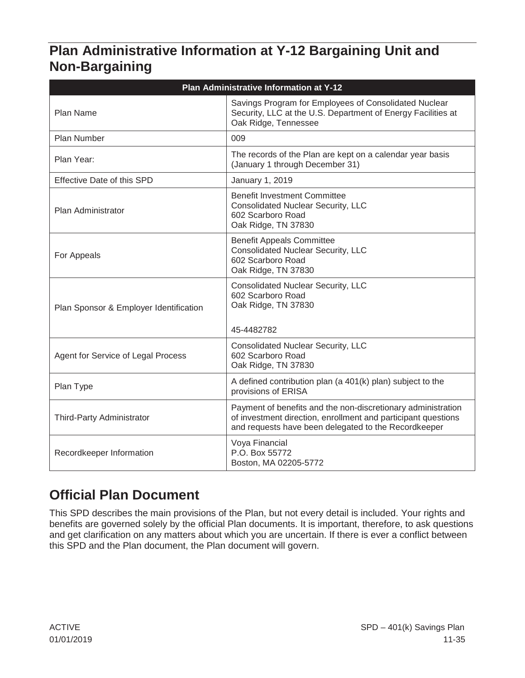### **Plan Administrative Information at Y-12 Bargaining Unit and Non-Bargaining**

| Plan Administrative Information at Y-12 |                                                                                                                                                                                       |
|-----------------------------------------|---------------------------------------------------------------------------------------------------------------------------------------------------------------------------------------|
| Plan Name                               | Savings Program for Employees of Consolidated Nuclear<br>Security, LLC at the U.S. Department of Energy Facilities at<br>Oak Ridge, Tennessee                                         |
| Plan Number                             | 009                                                                                                                                                                                   |
| Plan Year:                              | The records of the Plan are kept on a calendar year basis<br>(January 1 through December 31)                                                                                          |
| <b>Effective Date of this SPD</b>       | January 1, 2019                                                                                                                                                                       |
| Plan Administrator                      | <b>Benefit Investment Committee</b><br><b>Consolidated Nuclear Security, LLC</b><br>602 Scarboro Road<br>Oak Ridge, TN 37830                                                          |
| For Appeals                             | <b>Benefit Appeals Committee</b><br><b>Consolidated Nuclear Security, LLC</b><br>602 Scarboro Road<br>Oak Ridge, TN 37830                                                             |
| Plan Sponsor & Employer Identification  | <b>Consolidated Nuclear Security, LLC</b><br>602 Scarboro Road<br>Oak Ridge, TN 37830<br>45-4482782                                                                                   |
| Agent for Service of Legal Process      | <b>Consolidated Nuclear Security, LLC</b><br>602 Scarboro Road<br>Oak Ridge, TN 37830                                                                                                 |
| Plan Type                               | A defined contribution plan (a $401(k)$ plan) subject to the<br>provisions of ERISA                                                                                                   |
| Third-Party Administrator               | Payment of benefits and the non-discretionary administration<br>of investment direction, enrollment and participant questions<br>and requests have been delegated to the Recordkeeper |
| Recordkeeper Information                | Voya Financial<br>P.O. Box 55772<br>Boston, MA 02205-5772                                                                                                                             |

### **Official Plan Document**

This SPD describes the main provisions of the Plan, but not every detail is included. Your rights and benefits are governed solely by the official Plan documents. It is important, therefore, to ask questions and get clarification on any matters about which you are uncertain. If there is ever a conflict between this SPD and the Plan document, the Plan document will govern.